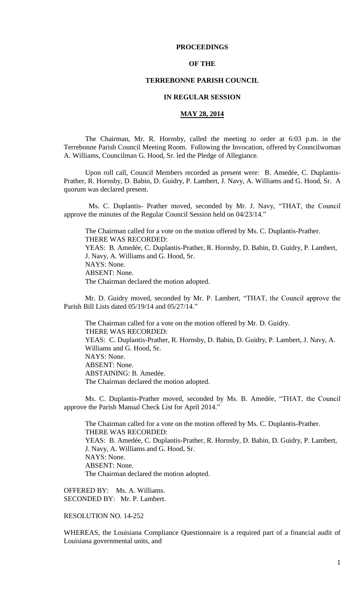## **PROCEEDINGS**

## **OF THE**

## **TERREBONNE PARISH COUNCIL**

## **IN REGULAR SESSION**

## **MAY 28, 2014**

The Chairman, Mr. R. Hornsby, called the meeting to order at 6:03 p.m. in the Terrebonne Parish Council Meeting Room. Following the Invocation, offered by Councilwoman A. Williams, Councilman G. Hood, Sr. led the Pledge of Allegiance.

Upon roll call, Council Members recorded as present were: B. Amedée, C. Duplantis-Prather, R. Hornsby, D. Babin, D. Guidry, P. Lambert, J. Navy, A. Williams and G. Hood, Sr. A quorum was declared present.

 Ms. C. Duplantis- Prather moved, seconded by Mr. J. Navy, "THAT, the Council approve the minutes of the Regular Council Session held on 04/23/14."

The Chairman called for a vote on the motion offered by Ms. C. Duplantis-Prather. THERE WAS RECORDED: YEAS: B. Amedée, C. Duplantis-Prather, R. Hornsby, D. Babin, D. Guidry, P. Lambert, J. Navy, A. Williams and G. Hood, Sr. NAYS: None. ABSENT: None. The Chairman declared the motion adopted.

Mr. D. Guidry moved, seconded by Mr. P. Lambert, "THAT, the Council approve the Parish Bill Lists dated 05/19/14 and 05/27/14."

The Chairman called for a vote on the motion offered by Mr. D. Guidry. THERE WAS RECORDED: YEAS: C. Duplantis-Prather, R. Hornsby, D. Babin, D. Guidry, P. Lambert, J. Navy, A. Williams and G. Hood, Sr. NAYS: None. ABSENT: None. ABSTAINING: B. Amedée. The Chairman declared the motion adopted.

Ms. C. Duplantis-Prather moved, seconded by Ms. B. Amedée, "THAT, the Council approve the Parish Manual Check List for April 2014."

The Chairman called for a vote on the motion offered by Ms. C. Duplantis-Prather. THERE WAS RECORDED: YEAS: B. Amedée, C. Duplantis-Prather, R. Hornsby, D. Babin, D. Guidry, P. Lambert, J. Navy, A. Williams and G. Hood, Sr. NAYS: None. ABSENT: None. The Chairman declared the motion adopted.

OFFERED BY: Ms. A. Williams. SECONDED BY: Mr. P. Lambert.

# RESOLUTION NO. 14-252

WHEREAS, the Louisiana Compliance Questionnaire is a required part of a financial audit of Louisiana governmental units, and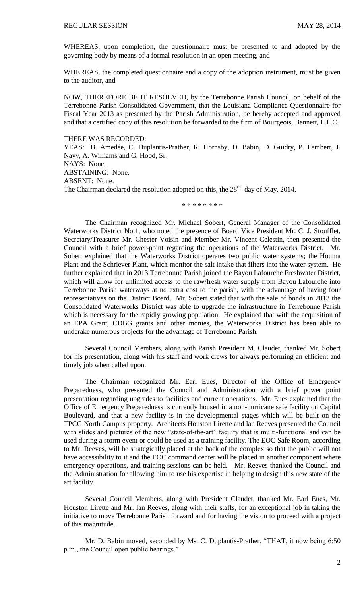WHEREAS, upon completion, the questionnaire must be presented to and adopted by the governing body by means of a formal resolution in an open meeting, and

WHEREAS, the completed questionnaire and a copy of the adoption instrument, must be given to the auditor, and

NOW, THEREFORE BE IT RESOLVED, by the Terrebonne Parish Council, on behalf of the Terrebonne Parish Consolidated Government, that the Louisiana Compliance Questionnaire for Fiscal Year 2013 as presented by the Parish Administration, be hereby accepted and approved and that a certified copy of this resolution be forwarded to the firm of Bourgeois, Bennett, L.L.C.

THERE WAS RECORDED:

YEAS: B. Amedée, C. Duplantis-Prather, R. Hornsby, D. Babin, D. Guidry, P. Lambert, J. Navy, A. Williams and G. Hood, Sr. NAYS: None. ABSTAINING: None. ABSENT: None. The Chairman declared the resolution adopted on this, the  $28<sup>th</sup>$  day of May, 2014.

\* \* \* \* \* \* \* \*

The Chairman recognized Mr. Michael Sobert, General Manager of the Consolidated Waterworks District No.1, who noted the presence of Board Vice President Mr. C. J. Stoufflet, Secretary/Treasurer Mr. Chester Voisin and Member Mr. Vincent Celestin, then presented the Council with a brief power-point regarding the operations of the Waterworks District. Mr. Sobert explained that the Waterworks District operates two public water systems; the Houma Plant and the Schriever Plant, which monitor the salt intake that filters into the water system. He further explained that in 2013 Terrebonne Parish joined the Bayou Lafourche Freshwater District, which will allow for unlimited access to the raw/fresh water supply from Bayou Lafourche into Terrebonne Parish waterways at no extra cost to the parish, with the advantage of having four representatives on the District Board. Mr. Sobert stated that with the sale of bonds in 2013 the Consolidated Waterworks District was able to upgrade the infrastructure in Terrebonne Parish which is necessary for the rapidly growing population. He explained that with the acquisition of an EPA Grant, CDBG grants and other monies, the Waterworks District has been able to underake numerous projects for the advantage of Terrebonne Parish.

Several Council Members, along with Parish President M. Claudet, thanked Mr. Sobert for his presentation, along with his staff and work crews for always performing an efficient and timely job when called upon.

The Chairman recognized Mr. Earl Eues, Director of the Office of Emergency Preparedness, who presented the Council and Administration with a brief power point presentation regarding upgrades to facilities and current operations. Mr. Eues explained that the Office of Emergency Preparedness is currently housed in a non-hurricane safe facility on Capital Boulevard, and that a new facility is in the developmental stages which will be built on the TPCG North Campus property. Architects Houston Lirette and Ian Reeves presented the Council with slides and pictures of the new "state-of-the-art" facility that is multi-functional and can be used during a storm event or could be used as a training facility. The EOC Safe Room, according to Mr. Reeves, will be strategically placed at the back of the complex so that the public will not have accessibility to it and the EOC command center will be placed in another component where emergency operations, and training sessions can be held. Mr. Reeves thanked the Council and the Administration for allowing him to use his expertise in helping to design this new state of the art facility.

Several Council Members, along with President Claudet, thanked Mr. Earl Eues, Mr. Houston Lirette and Mr. Ian Reeves, along with their staffs, for an exceptional job in taking the initiative to move Terrebonne Parish forward and for having the vision to proceed with a project of this magnitude.

Mr. D. Babin moved, seconded by Ms. C. Duplantis-Prather, "THAT, it now being 6:50 p.m., the Council open public hearings."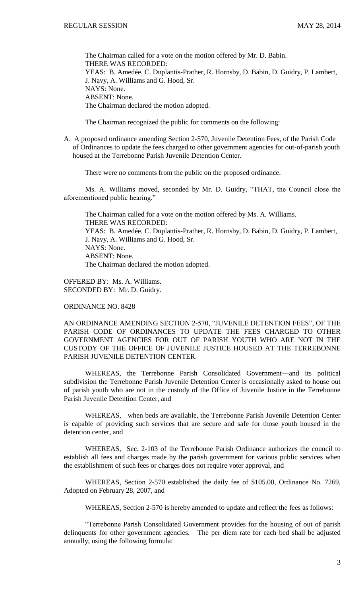The Chairman called for a vote on the motion offered by Mr. D. Babin. THERE WAS RECORDED: YEAS: B. Amedée, C. Duplantis-Prather, R. Hornsby, D. Babin, D. Guidry, P. Lambert, J. Navy, A. Williams and G. Hood, Sr. NAYS: None. ABSENT: None. The Chairman declared the motion adopted.

The Chairman recognized the public for comments on the following:

A. A proposed ordinance amending Section 2-570, Juvenile Detention Fees, of the Parish Code of Ordinances to update the fees charged to other government agencies for out-of-parish youth housed at the Terrebonne Parish Juvenile Detention Center.

There were no comments from the public on the proposed ordinance.

Ms. A. Williams moved, seconded by Mr. D. Guidry, "THAT, the Council close the aforementioned public hearing."

The Chairman called for a vote on the motion offered by Ms. A. Williams. THERE WAS RECORDED: YEAS: B. Amedée, C. Duplantis-Prather, R. Hornsby, D. Babin, D. Guidry, P. Lambert, J. Navy, A. Williams and G. Hood, Sr. NAYS: None. ABSENT: None. The Chairman declared the motion adopted.

OFFERED BY: Ms. A. Williams. SECONDED BY: Mr. D. Guidry.

ORDINANCE NO. 8428

AN ORDINANCE AMENDING SECTION 2-570, "JUVENILE DETENTION FEES", OF THE PARISH CODE OF ORDINANCES TO UPDATE THE FEES CHARGED TO OTHER GOVERNMENT AGENCIES FOR OUT OF PARISH YOUTH WHO ARE NOT IN THE CUSTODY OF THE OFFICE OF JUVENILE JUSTICE HOUSED AT THE TERREBONNE PARISH JUVENILE DETENTION CENTER.

WHEREAS, the Terrebonne Parish Consolidated Government—and its political subdivision the Terrebonne Parish Juvenile Detention Center is occasionally asked to house out of parish youth who are not in the custody of the Office of Juvenile Justice in the Terrebonne Parish Juvenile Detention Center, and

WHEREAS, when beds are available, the Terrebonne Parish Juvenile Detention Center is capable of providing such services that are secure and safe for those youth housed in the detention center, and

WHEREAS, Sec. 2-103 of the Terrebonne Parish Ordinance authorizes the council to establish all fees and charges made by the parish government for various public services when the establishment of such fees or charges does not require voter approval, and

WHEREAS, Section 2-570 established the daily fee of \$105.00, Ordinance No. 7269, Adopted on February 28, 2007, and

WHEREAS, Section 2-570 is hereby amended to update and reflect the fees as follows:

"Terrebonne Parish Consolidated Government provides for the housing of out of parish delinquents for other government agencies. The per diem rate for each bed shall be adjusted annually, using the following formula: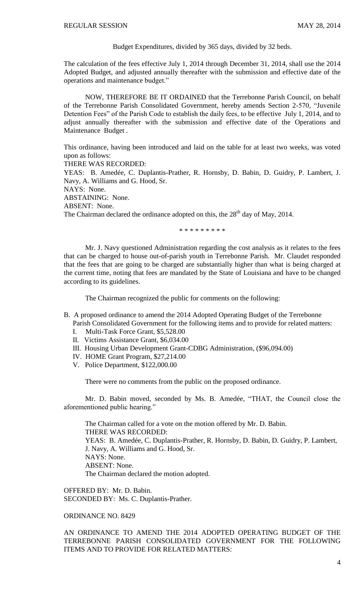Budget Expenditures, divided by 365 days, divided by 32 beds.

The calculation of the fees effective July 1, 2014 through December 31, 2014, shall use the 2014 Adopted Budget, and adjusted annually thereafter with the submission and effective date of the operations and maintenance budget."

NOW, THEREFORE BE IT ORDAINED that the Terrebonne Parish Council, on behalf of the Terrebonne Parish Consolidated Government, hereby amends Section 2-570, "Juvenile Detention Fees" of the Parish Code to establish the daily fees, to be effective July 1, 2014, and to adjust annually thereafter with the submission and effective date of the Operations and Maintenance Budget .

This ordinance, having been introduced and laid on the table for at least two weeks, was voted upon as follows:

THERE WAS RECORDED:

YEAS: B. Amedée, C. Duplantis-Prather, R. Hornsby, D. Babin, D. Guidry, P. Lambert, J. Navy, A. Williams and G. Hood, Sr.

NAYS: None.

ABSTAINING: None.

ABSENT: None.

The Chairman declared the ordinance adopted on this, the  $28<sup>th</sup>$  day of May, 2014.

\* \* \* \* \* \* \* \* \*

Mr. J. Navy questioned Administration regarding the cost analysis as it relates to the fees that can be charged to house out-of-parish youth in Terrebonne Parish. Mr. Claudet responded that the fees that are going to be charged are substantially higher than what is being charged at the current time, noting that fees are mandated by the State of Louisiana and have to be changed according to its guidelines.

The Chairman recognized the public for comments on the following:

B. A proposed ordinance to amend the 2014 Adopted Operating Budget of the Terrebonne

Parish Consolidated Government for the following items and to provide for related matters:

- I. Multi-Task Force Grant, \$5,528.00
- II. Victims Assistance Grant, \$6,034.00
- III. Housing Urban Development Grant-CDBG Administration, (\$96,094.00)
- IV. HOME Grant Program, \$27,214.00
- V. Police Department, \$122,000.00

There were no comments from the public on the proposed ordinance.

Mr. D. Babin moved, seconded by Ms. B. Amedée, "THAT, the Council close the aforementioned public hearing."

The Chairman called for a vote on the motion offered by Mr. D. Babin. THERE WAS RECORDED: YEAS: B. Amedée, C. Duplantis-Prather, R. Hornsby, D. Babin, D. Guidry, P. Lambert, J. Navy, A. Williams and G. Hood, Sr. NAYS: None. ABSENT: None. The Chairman declared the motion adopted.

OFFERED BY: Mr. D. Babin. SECONDED BY: Ms. C. Duplantis-Prather.

# ORDINANCE NO. 8429

AN ORDINANCE TO AMEND THE 2014 ADOPTED OPERATING BUDGET OF THE TERREBONNE PARISH CONSOLIDATED GOVERNMENT FOR THE FOLLOWING ITEMS AND TO PROVIDE FOR RELATED MATTERS: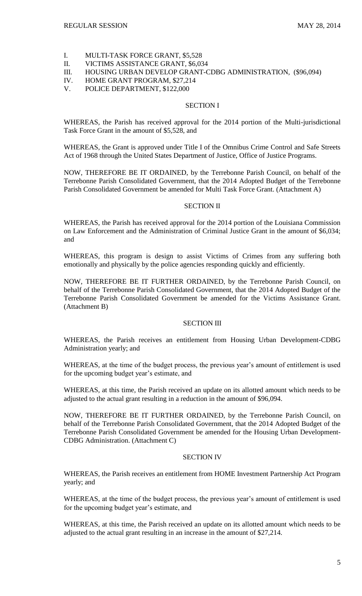- I. MULTI-TASK FORCE GRANT, \$5,528
- II. VICTIMS ASSISTANCE GRANT, \$6,034
- III. HOUSING URBAN DEVELOP GRANT-CDBG ADMINISTRATION, (\$96,094)
- IV. HOME GRANT PROGRAM, \$27,214
- V. POLICE DEPARTMENT, \$122,000

## SECTION I

WHEREAS, the Parish has received approval for the 2014 portion of the Multi-jurisdictional Task Force Grant in the amount of \$5,528, and

WHEREAS, the Grant is approved under Title I of the Omnibus Crime Control and Safe Streets Act of 1968 through the United States Department of Justice, Office of Justice Programs.

NOW, THEREFORE BE IT ORDAINED, by the Terrebonne Parish Council, on behalf of the Terrebonne Parish Consolidated Government, that the 2014 Adopted Budget of the Terrebonne Parish Consolidated Government be amended for Multi Task Force Grant. (Attachment A)

# SECTION II

WHEREAS, the Parish has received approval for the 2014 portion of the Louisiana Commission on Law Enforcement and the Administration of Criminal Justice Grant in the amount of \$6,034; and

WHEREAS, this program is design to assist Victims of Crimes from any suffering both emotionally and physically by the police agencies responding quickly and efficiently.

NOW, THEREFORE BE IT FURTHER ORDAINED, by the Terrebonne Parish Council, on behalf of the Terrebonne Parish Consolidated Government, that the 2014 Adopted Budget of the Terrebonne Parish Consolidated Government be amended for the Victims Assistance Grant. (Attachment B)

# SECTION III

WHEREAS, the Parish receives an entitlement from Housing Urban Development-CDBG Administration yearly; and

WHEREAS, at the time of the budget process, the previous year's amount of entitlement is used for the upcoming budget year's estimate, and

WHEREAS, at this time, the Parish received an update on its allotted amount which needs to be adjusted to the actual grant resulting in a reduction in the amount of \$96,094.

NOW, THEREFORE BE IT FURTHER ORDAINED, by the Terrebonne Parish Council, on behalf of the Terrebonne Parish Consolidated Government, that the 2014 Adopted Budget of the Terrebonne Parish Consolidated Government be amended for the Housing Urban Development-CDBG Administration. (Attachment C)

## SECTION IV

WHEREAS, the Parish receives an entitlement from HOME Investment Partnership Act Program yearly; and

WHEREAS, at the time of the budget process, the previous year's amount of entitlement is used for the upcoming budget year's estimate, and

WHEREAS, at this time, the Parish received an update on its allotted amount which needs to be adjusted to the actual grant resulting in an increase in the amount of \$27,214.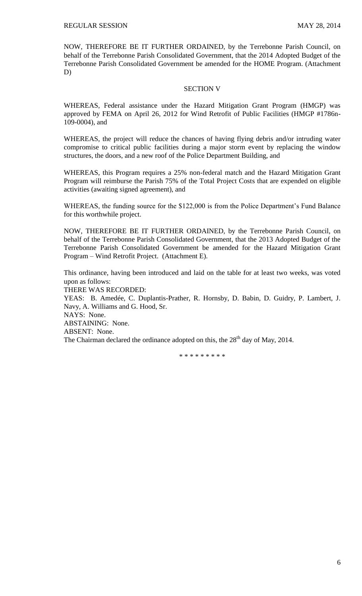NOW, THEREFORE BE IT FURTHER ORDAINED, by the Terrebonne Parish Council, on behalf of the Terrebonne Parish Consolidated Government, that the 2014 Adopted Budget of the Terrebonne Parish Consolidated Government be amended for the HOME Program. (Attachment D)

### SECTION V

WHEREAS, Federal assistance under the Hazard Mitigation Grant Program (HMGP) was approved by FEMA on April 26, 2012 for Wind Retrofit of Public Facilities (HMGP #1786n-109-0004), and

WHEREAS, the project will reduce the chances of having flying debris and/or intruding water compromise to critical public facilities during a major storm event by replacing the window structures, the doors, and a new roof of the Police Department Building, and

WHEREAS, this Program requires a 25% non-federal match and the Hazard Mitigation Grant Program will reimburse the Parish 75% of the Total Project Costs that are expended on eligible activities (awaiting signed agreement), and

WHEREAS, the funding source for the \$122,000 is from the Police Department's Fund Balance for this worthwhile project.

NOW, THEREFORE BE IT FURTHER ORDAINED, by the Terrebonne Parish Council, on behalf of the Terrebonne Parish Consolidated Government, that the 2013 Adopted Budget of the Terrebonne Parish Consolidated Government be amended for the Hazard Mitigation Grant Program – Wind Retrofit Project. (Attachment E).

This ordinance, having been introduced and laid on the table for at least two weeks, was voted upon as follows:

THERE WAS RECORDED:

YEAS: B. Amedée, C. Duplantis-Prather, R. Hornsby, D. Babin, D. Guidry, P. Lambert, J. Navy, A. Williams and G. Hood, Sr. NAYS: None.

ABSTAINING: None.

ABSENT: None.

The Chairman declared the ordinance adopted on this, the  $28<sup>th</sup>$  day of May, 2014.

\* \* \* \* \* \* \* \* \*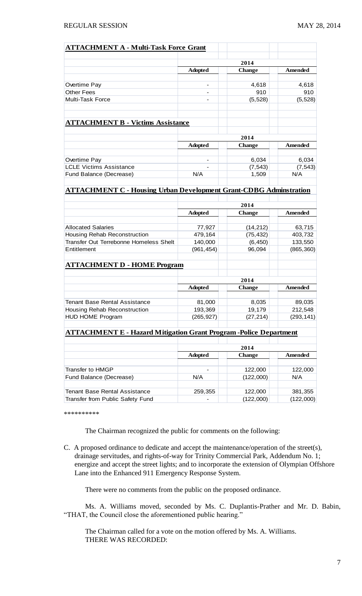| <b>ATTACHMENT A - Multi-Task Force Grant</b>                             |                |                       |                 |
|--------------------------------------------------------------------------|----------------|-----------------------|-----------------|
|                                                                          |                |                       |                 |
|                                                                          | <b>Adopted</b> | 2014<br><b>Change</b> | Amended         |
|                                                                          |                |                       |                 |
| Overtime Pay                                                             | -              | 4,618                 | 4,618           |
| <b>Other Fees</b>                                                        |                | 910                   | 910             |
| <b>Multi-Task Force</b>                                                  |                | (5, 528)              | (5, 528)        |
| <b>ATTACHMENT B - Victims Assistance</b>                                 |                |                       |                 |
|                                                                          |                |                       |                 |
|                                                                          | 2014           |                       |                 |
|                                                                          | <b>Adopted</b> | <b>Change</b>         | <b>Amended</b>  |
|                                                                          |                |                       |                 |
| Overtime Pay                                                             |                | 6,034                 | 6,034           |
| <b>LCLE Victims Assistance</b>                                           | N/A            | (7, 543)              | (7, 543)<br>N/A |
| Fund Balance (Decrease)                                                  |                | 1,509                 |                 |
| <b>ATTACHMENT C - Housing Urban Development Grant-CDBG Adminstration</b> |                |                       |                 |
|                                                                          |                |                       |                 |
|                                                                          |                | 2014                  |                 |
|                                                                          | <b>Adopted</b> | <b>Change</b>         | Amended         |
| <b>Allocated Salaries</b>                                                | 77,927         | (14, 212)             | 63,715          |
| Housing Rehab Reconstruction                                             | 479,164        | (75, 432)             | 403,732         |
| Transfer Out Terrebonne Homeless Shelt                                   | 140,000        | (6, 450)              | 133,550         |
| Entitlement                                                              | (961, 454)     | 96,094                | (865, 360)      |
|                                                                          |                |                       |                 |
| <b>ATTACHMENT D - HOME Program</b>                                       |                |                       |                 |
|                                                                          | 2014           |                       |                 |
|                                                                          | <b>Adopted</b> | <b>Change</b>         | Amended         |
|                                                                          |                |                       |                 |
| <b>Tenant Base Rental Assistance</b>                                     | 81,000         | 8,035                 | 89,035          |
| Housing Rehab Reconstruction                                             | 193,369        | 19,179                | 212,548         |
| HUD HOME Program                                                         | (265, 927)     | (27, 214)             | (293, 141)      |
| <b>ATTACHMENT E - Hazard Mitigation Grant Program -Police Department</b> |                |                       |                 |
|                                                                          |                |                       |                 |
|                                                                          |                | 2014                  |                 |
|                                                                          | <b>Adopted</b> | <b>Change</b>         | Amended         |
|                                                                          |                |                       |                 |
| <b>Transfer to HMGP</b>                                                  |                | 122,000               | 122,000         |
| Fund Balance (Decrease)                                                  | N/A            | (122,000)             | N/A             |
| <b>Tenant Base Rental Assistance</b>                                     | 259,355        | 122,000               | 381,355         |
| Transfer from Public Safety Fund                                         |                | (122,000)             | (122,000)       |
|                                                                          |                |                       |                 |

\*\*\*\*\*\*\*\*\*\*

The Chairman recognized the public for comments on the following:

C. A proposed ordinance to dedicate and accept the maintenance/operation of the street(s), drainage servitudes, and rights-of-way for Trinity Commercial Park, Addendum No. 1; energize and accept the street lights; and to incorporate the extension of Olympian Offshore Lane into the Enhanced 911 Emergency Response System.

There were no comments from the public on the proposed ordinance.

Ms. A. Williams moved, seconded by Ms. C. Duplantis-Prather and Mr. D. Babin, "THAT, the Council close the aforementioned public hearing."

The Chairman called for a vote on the motion offered by Ms. A. Williams. THERE WAS RECORDED: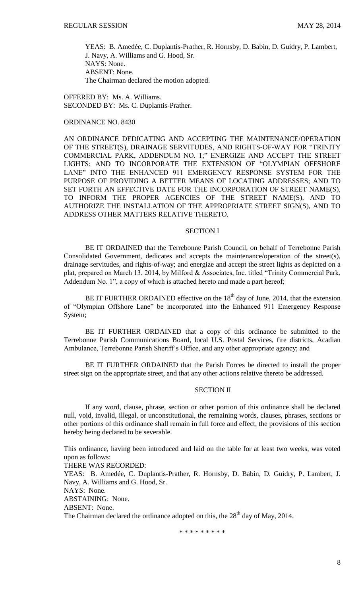YEAS: B. Amedée, C. Duplantis-Prather, R. Hornsby, D. Babin, D. Guidry, P. Lambert, J. Navy, A. Williams and G. Hood, Sr. NAYS: None. ABSENT: None. The Chairman declared the motion adopted.

OFFERED BY: Ms. A. Williams. SECONDED BY: Ms. C. Duplantis-Prather.

# ORDINANCE NO. 8430

AN ORDINANCE DEDICATING AND ACCEPTING THE MAINTENANCE/OPERATION OF THE STREET(S), DRAINAGE SERVITUDES, AND RIGHTS-OF-WAY FOR "TRINITY COMMERCIAL PARK, ADDENDUM NO. 1;" ENERGIZE AND ACCEPT THE STREET LIGHTS; AND TO INCORPORATE THE EXTENSION OF "OLYMPIAN OFFSHORE LANE" INTO THE ENHANCED 911 EMERGENCY RESPONSE SYSTEM FOR THE PURPOSE OF PROVIDING A BETTER MEANS OF LOCATING ADDRESSES; AND TO SET FORTH AN EFFECTIVE DATE FOR THE INCORPORATION OF STREET NAME(S), TO INFORM THE PROPER AGENCIES OF THE STREET NAME(S), AND TO AUTHORIZE THE INSTALLATION OF THE APPROPRIATE STREET SIGN(S), AND TO ADDRESS OTHER MATTERS RELATIVE THERETO.

## SECTION I

BE IT ORDAINED that the Terrebonne Parish Council, on behalf of Terrebonne Parish Consolidated Government, dedicates and accepts the maintenance/operation of the street(s), drainage servitudes, and rights-of-way; and energize and accept the street lights as depicted on a plat, prepared on March 13, 2014, by Milford & Associates, Inc. titled "Trinity Commercial Park, Addendum No. 1", a copy of which is attached hereto and made a part hereof;

BE IT FURTHER ORDAINED effective on the  $18<sup>th</sup>$  day of June, 2014, that the extension of "Olympian Offshore Lane" be incorporated into the Enhanced 911 Emergency Response System;

BE IT FURTHER ORDAINED that a copy of this ordinance be submitted to the Terrebonne Parish Communications Board, local U.S. Postal Services, fire districts, Acadian Ambulance, Terrebonne Parish Sheriff's Office, and any other appropriate agency; and

BE IT FURTHER ORDAINED that the Parish Forces be directed to install the proper street sign on the appropriate street, and that any other actions relative thereto be addressed.

## SECTION II

If any word, clause, phrase, section or other portion of this ordinance shall be declared null, void, invalid, illegal, or unconstitutional, the remaining words, clauses, phrases, sections or other portions of this ordinance shall remain in full force and effect, the provisions of this section hereby being declared to be severable.

This ordinance, having been introduced and laid on the table for at least two weeks, was voted upon as follows:

THERE WAS RECORDED:

YEAS: B. Amedée, C. Duplantis-Prather, R. Hornsby, D. Babin, D. Guidry, P. Lambert, J. Navy, A. Williams and G. Hood, Sr.

NAYS: None.

ABSTAINING: None.

ABSENT: None.

The Chairman declared the ordinance adopted on this, the  $28<sup>th</sup>$  day of May, 2014.

\* \* \* \* \* \* \* \* \*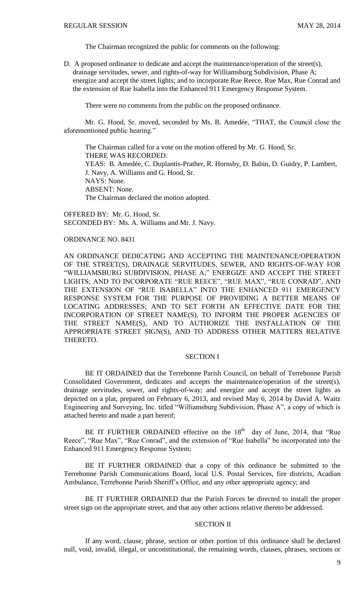The Chairman recognized the public for comments on the following:

D. A proposed ordinance to dedicate and accept the maintenance/operation of the street(s), drainage servitudes, sewer, and rights-of-way for Williamsburg Subdivision, Phase A; energize and accept the street lights; and to incorporate Rue Reece, Rue Max, Rue Conrad and the extension of Rue Isabella into the Enhanced 911 Emergency Response System.

There were no comments from the public on the proposed ordinance.

Mr. G. Hood, Sr. moved, seconded by Ms. B. Amedée, "THAT, the Council close the aforementioned public hearing."

The Chairman called for a vote on the motion offered by Mr. G. Hood, Sr. THERE WAS RECORDED: YEAS: B. Amedée, C. Duplantis-Prather, R. Hornsby, D. Babin, D. Guidry, P. Lambert, J. Navy, A. Williams and G. Hood, Sr. NAYS: None. ABSENT: None. The Chairman declared the motion adopted.

OFFERED BY: Mr. G. Hood, Sr. SECONDED BY: Ms. A. Williams and Mr. J. Navy.

## ORDINANCE NO. 8431

AN ORDINANCE DEDICATING AND ACCEPTING THE MAINTENANCE/OPERATION OF THE STREET(S), DRAINAGE SERVITUDES, SEWER, AND RIGHTS-OF-WAY FOR "WILLIAMSBURG SUBDIVISION, PHASE A;" ENERGIZE AND ACCEPT THE STREET LIGHTS; AND TO INCORPORATE "RUE REECE", "RUE MAX", "RUE CONRAD", AND THE EXTENSION OF "RUE ISABELLA" INTO THE ENHANCED 911 EMERGENCY RESPONSE SYSTEM FOR THE PURPOSE OF PROVIDING A BETTER MEANS OF LOCATING ADDRESSES; AND TO SET FORTH AN EFFECTIVE DATE FOR THE INCORPORATION OF STREET NAME(S), TO INFORM THE PROPER AGENCIES OF THE STREET NAME(S), AND TO AUTHORIZE THE INSTALLATION OF THE APPROPRIATE STREET SIGN(S), AND TO ADDRESS OTHER MATTERS RELATIVE THERETO.

## SECTION I

BE IT ORDAINED that the Terrebonne Parish Council, on behalf of Terrebonne Parish Consolidated Government, dedicates and accepts the maintenance/operation of the street(s), drainage servitudes, sewer, and rights-of-way; and energize and accept the street lights as depicted on a plat, prepared on February 6, 2013, and revised May 6, 2014 by David A. Waitz Engineering and Surveying, Inc. titled "Williamsburg Subdivision, Phase A", a copy of which is attached hereto and made a part hereof;

BE IT FURTHER ORDAINED effective on the  $18<sup>th</sup>$  day of June, 2014, that "Rue Reece", "Rue Max", "Rue Conrad", and the extension of "Rue Isabella" be incorporated into the Enhanced 911 Emergency Response System;

BE IT FURTHER ORDAINED that a copy of this ordinance be submitted to the Terrebonne Parish Communications Board, local U.S. Postal Services, fire districts, Acadian Ambulance, Terrebonne Parish Sheriff's Office, and any other appropriate agency; and

BE IT FURTHER ORDAINED that the Parish Forces be directed to install the proper street sign on the appropriate street, and that any other actions relative thereto be addressed.

### SECTION II

If any word, clause, phrase, section or other portion of this ordinance shall be declared null, void, invalid, illegal, or unconstitutional, the remaining words, clauses, phrases, sections or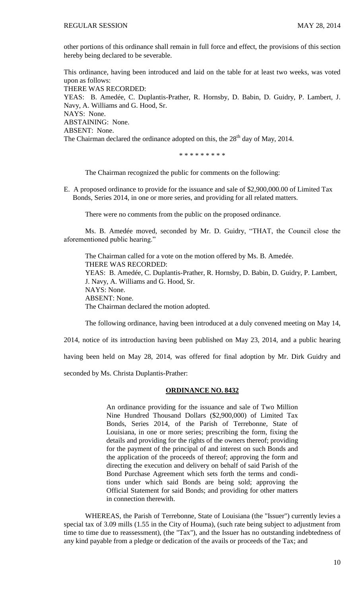other portions of this ordinance shall remain in full force and effect, the provisions of this section hereby being declared to be severable.

This ordinance, having been introduced and laid on the table for at least two weeks, was voted upon as follows: THERE WAS RECORDED: YEAS: B. Amedée, C. Duplantis-Prather, R. Hornsby, D. Babin, D. Guidry, P. Lambert, J. Navy, A. Williams and G. Hood, Sr. NAYS: None. ABSTAINING: None. ABSENT: None. The Chairman declared the ordinance adopted on this, the  $28<sup>th</sup>$  day of May, 2014.

\* \* \* \* \* \* \* \* \*

The Chairman recognized the public for comments on the following:

E. A proposed ordinance to provide for the issuance and sale of \$2,900,000.00 of Limited Tax Bonds, Series 2014, in one or more series, and providing for all related matters.

There were no comments from the public on the proposed ordinance.

Ms. B. Amedée moved, seconded by Mr. D. Guidry, "THAT, the Council close the aforementioned public hearing."

The Chairman called for a vote on the motion offered by Ms. B. Amedée. THERE WAS RECORDED: YEAS: B. Amedée, C. Duplantis-Prather, R. Hornsby, D. Babin, D. Guidry, P. Lambert, J. Navy, A. Williams and G. Hood, Sr. NAYS: None. ABSENT: None. The Chairman declared the motion adopted.

The following ordinance, having been introduced at a duly convened meeting on May 14,

2014, notice of its introduction having been published on May 23, 2014, and a public hearing

having been held on May 28, 2014, was offered for final adoption by Mr. Dirk Guidry and

seconded by Ms. Christa Duplantis-Prather:

### **ORDINANCE NO. 8432**

An ordinance providing for the issuance and sale of Two Million Nine Hundred Thousand Dollars (\$2,900,000) of Limited Tax Bonds, Series 2014, of the Parish of Terrebonne, State of Louisiana, in one or more series; prescribing the form, fixing the details and providing for the rights of the owners thereof; providing for the payment of the principal of and interest on such Bonds and the application of the proceeds of thereof; approving the form and directing the execution and delivery on behalf of said Parish of the Bond Purchase Agreement which sets forth the terms and conditions under which said Bonds are being sold; approving the Official Statement for said Bonds; and providing for other matters in connection therewith.

WHEREAS, the Parish of Terrebonne, State of Louisiana (the "Issuer") currently levies a special tax of 3.09 mills (1.55 in the City of Houma), (such rate being subject to adjustment from time to time due to reassessment), (the "Tax"), and the Issuer has no outstanding indebtedness of any kind payable from a pledge or dedication of the avails or proceeds of the Tax; and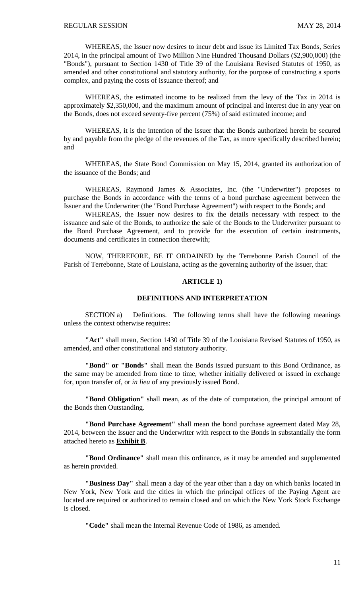WHEREAS, the Issuer now desires to incur debt and issue its Limited Tax Bonds, Series 2014, in the principal amount of Two Million Nine Hundred Thousand Dollars (\$2,900,000) (the "Bonds"), pursuant to Section 1430 of Title 39 of the Louisiana Revised Statutes of 1950, as amended and other constitutional and statutory authority, for the purpose of constructing a sports complex, and paying the costs of issuance thereof; and

WHEREAS, the estimated income to be realized from the levy of the Tax in 2014 is approximately \$2,350,000, and the maximum amount of principal and interest due in any year on the Bonds, does not exceed seventy-five percent (75%) of said estimated income; and

WHEREAS, it is the intention of the Issuer that the Bonds authorized herein be secured by and payable from the pledge of the revenues of the Tax, as more specifically described herein; and

WHEREAS, the State Bond Commission on May 15, 2014, granted its authorization of the issuance of the Bonds; and

WHEREAS, Raymond James & Associates, Inc. (the "Underwriter") proposes to purchase the Bonds in accordance with the terms of a bond purchase agreement between the Issuer and the Underwriter (the "Bond Purchase Agreement") with respect to the Bonds; and

WHEREAS, the Issuer now desires to fix the details necessary with respect to the issuance and sale of the Bonds, to authorize the sale of the Bonds to the Underwriter pursuant to the Bond Purchase Agreement, and to provide for the execution of certain instruments, documents and certificates in connection therewith;

NOW, THEREFORE, BE IT ORDAINED by the Terrebonne Parish Council of the Parish of Terrebonne, State of Louisiana, acting as the governing authority of the Issuer, that:

## **ARTICLE 1)**

### **DEFINITIONS AND INTERPRETATION**

SECTION a) Definitions. The following terms shall have the following meanings unless the context otherwise requires:

 **"Act"** shall mean, Section 1430 of Title 39 of the Louisiana Revised Statutes of 1950, as amended, and other constitutional and statutory authority.

**"Bond" or "Bonds"** shall mean the Bonds issued pursuant to this Bond Ordinance, as the same may be amended from time to time, whether initially delivered or issued in exchange for, upon transfer of, or *in lieu* of any previously issued Bond.

**"Bond Obligation"** shall mean, as of the date of computation, the principal amount of the Bonds then Outstanding.

**"Bond Purchase Agreement"** shall mean the bond purchase agreement dated May 28, 2014, between the Issuer and the Underwriter with respect to the Bonds in substantially the form attached hereto as **Exhibit B**.

**"Bond Ordinance"** shall mean this ordinance, as it may be amended and supplemented as herein provided.

**"Business Day"** shall mean a day of the year other than a day on which banks located in New York, New York and the cities in which the principal offices of the Paying Agent are located are required or authorized to remain closed and on which the New York Stock Exchange is closed.

**"Code"** shall mean the Internal Revenue Code of 1986, as amended.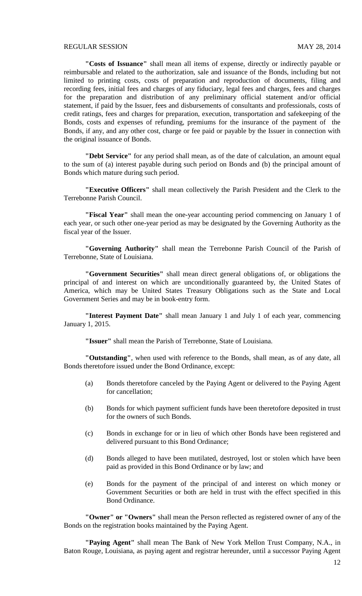**"Costs of Issuance"** shall mean all items of expense, directly or indirectly payable or reimbursable and related to the authorization, sale and issuance of the Bonds, including but not limited to printing costs, costs of preparation and reproduction of documents, filing and recording fees, initial fees and charges of any fiduciary, legal fees and charges, fees and charges for the preparation and distribution of any preliminary official statement and/or official statement, if paid by the Issuer, fees and disbursements of consultants and professionals, costs of credit ratings, fees and charges for preparation, execution, transportation and safekeeping of the Bonds, costs and expenses of refunding, premiums for the insurance of the payment of the Bonds, if any, and any other cost, charge or fee paid or payable by the Issuer in connection with the original issuance of Bonds.

**"Debt Service"** for any period shall mean, as of the date of calculation, an amount equal to the sum of (a) interest payable during such period on Bonds and (b) the principal amount of Bonds which mature during such period.

**"Executive Officers"** shall mean collectively the Parish President and the Clerk to the Terrebonne Parish Council.

**"Fiscal Year"** shall mean the one-year accounting period commencing on January 1 of each year, or such other one-year period as may be designated by the Governing Authority as the fiscal year of the Issuer.

**"Governing Authority"** shall mean the Terrebonne Parish Council of the Parish of Terrebonne, State of Louisiana.

**"Government Securities"** shall mean direct general obligations of, or obligations the principal of and interest on which are unconditionally guaranteed by, the United States of America, which may be United States Treasury Obligations such as the State and Local Government Series and may be in book-entry form.

**"Interest Payment Date"** shall mean January 1 and July 1 of each year, commencing January 1, 2015.

**"Issuer"** shall mean the Parish of Terrebonne, State of Louisiana.

**"Outstanding"**, when used with reference to the Bonds, shall mean, as of any date, all Bonds theretofore issued under the Bond Ordinance, except:

- (a) Bonds theretofore canceled by the Paying Agent or delivered to the Paying Agent for cancellation;
- (b) Bonds for which payment sufficient funds have been theretofore deposited in trust for the owners of such Bonds.
- (c) Bonds in exchange for or in lieu of which other Bonds have been registered and delivered pursuant to this Bond Ordinance;
- (d) Bonds alleged to have been mutilated, destroyed, lost or stolen which have been paid as provided in this Bond Ordinance or by law; and
- (e) Bonds for the payment of the principal of and interest on which money or Government Securities or both are held in trust with the effect specified in this Bond Ordinance.

**"Owner" or "Owners"** shall mean the Person reflected as registered owner of any of the Bonds on the registration books maintained by the Paying Agent.

**"Paying Agent"** shall mean The Bank of New York Mellon Trust Company, N.A., in Baton Rouge, Louisiana, as paying agent and registrar hereunder, until a successor Paying Agent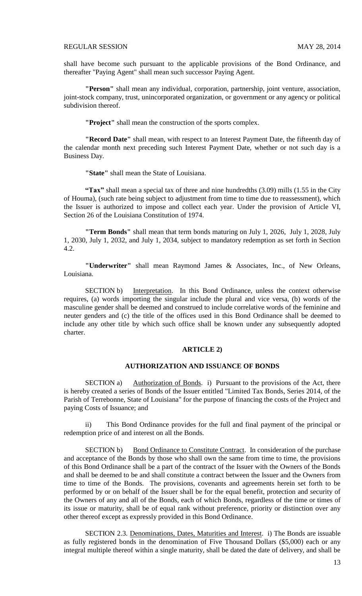shall have become such pursuant to the applicable provisions of the Bond Ordinance, and thereafter "Paying Agent" shall mean such successor Paying Agent.

**"Person"** shall mean any individual, corporation, partnership, joint venture, association, joint-stock company, trust, unincorporated organization, or government or any agency or political subdivision thereof.

**"Project"** shall mean the construction of the sports complex.

**"Record Date"** shall mean, with respect to an Interest Payment Date, the fifteenth day of the calendar month next preceding such Interest Payment Date, whether or not such day is a Business Day.

**"State"** shall mean the State of Louisiana.

**"Tax"** shall mean a special tax of three and nine hundredths (3.09) mills (1.55 in the City of Houma), (such rate being subject to adjustment from time to time due to reassessment), which the Issuer is authorized to impose and collect each year. Under the provision of Article VI, Section 26 of the Louisiana Constitution of 1974.

**"Term Bonds"** shall mean that term bonds maturing on July 1, 2026, July 1, 2028, July 1, 2030, July 1, 2032, and July 1, 2034, subject to mandatory redemption as set forth in Section 4.2.

**"Underwriter"** shall mean Raymond James & Associates, Inc., of New Orleans, Louisiana.

SECTION b) Interpretation. In this Bond Ordinance, unless the context otherwise requires, (a) words importing the singular include the plural and vice versa, (b) words of the masculine gender shall be deemed and construed to include correlative words of the feminine and neuter genders and (c) the title of the offices used in this Bond Ordinance shall be deemed to include any other title by which such office shall be known under any subsequently adopted charter.

#### **ARTICLE 2)**

## **AUTHORIZATION AND ISSUANCE OF BONDS**

SECTION a) Authorization of Bonds. i) Pursuant to the provisions of the Act, there is hereby created a series of Bonds of the Issuer entitled "Limited Tax Bonds, Series 2014, of the Parish of Terrebonne, State of Louisiana" for the purpose of financing the costs of the Project and paying Costs of Issuance; and

ii) This Bond Ordinance provides for the full and final payment of the principal or redemption price of and interest on all the Bonds.

SECTION b) Bond Ordinance to Constitute Contract. In consideration of the purchase and acceptance of the Bonds by those who shall own the same from time to time, the provisions of this Bond Ordinance shall be a part of the contract of the Issuer with the Owners of the Bonds and shall be deemed to be and shall constitute a contract between the Issuer and the Owners from time to time of the Bonds. The provisions, covenants and agreements herein set forth to be performed by or on behalf of the Issuer shall be for the equal benefit, protection and security of the Owners of any and all of the Bonds, each of which Bonds, regardless of the time or times of its issue or maturity, shall be of equal rank without preference, priority or distinction over any other thereof except as expressly provided in this Bond Ordinance.

SECTION 2.3. Denominations, Dates, Maturities and Interest. i) The Bonds are issuable as fully registered bonds in the denomination of Five Thousand Dollars (\$5,000) each or any integral multiple thereof within a single maturity, shall be dated the date of delivery, and shall be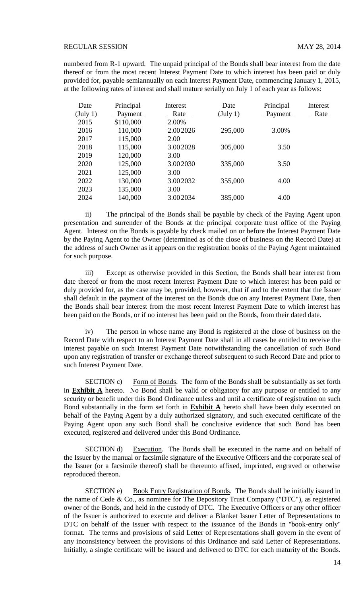numbered from R-1 upward. The unpaid principal of the Bonds shall bear interest from the date thereof or from the most recent Interest Payment Date to which interest has been paid or duly provided for, payable semiannually on each Interest Payment Date, commencing January 1, 2015, at the following rates of interest and shall mature serially on July 1 of each year as follows:

| Date               | Principal | Interest | Date               | Principal | Interest |
|--------------------|-----------|----------|--------------------|-----------|----------|
| $(\text{July } 1)$ | Payment   | Rate     | $(\text{July } 1)$ | Payment   | Rate     |
| 2015               | \$110,000 | 2.00%    |                    |           |          |
| 2016               | 110,000   | 2.002026 | 295,000            | 3.00%     |          |
| 2017               | 115,000   | 2.00     |                    |           |          |
| 2018               | 115,000   | 3.002028 | 305,000            | 3.50      |          |
| 2019               | 120,000   | 3.00     |                    |           |          |
| 2020               | 125,000   | 3.002030 | 335,000            | 3.50      |          |
| 2021               | 125,000   | 3.00     |                    |           |          |
| 2022               | 130,000   | 3.002032 | 355,000            | 4.00      |          |
| 2023               | 135,000   | 3.00     |                    |           |          |
| 2024               | 140,000   | 3.002034 | 385,000            | 4.00      |          |

ii) The principal of the Bonds shall be payable by check of the Paying Agent upon presentation and surrender of the Bonds at the principal corporate trust office of the Paying Agent. Interest on the Bonds is payable by check mailed on or before the Interest Payment Date by the Paying Agent to the Owner (determined as of the close of business on the Record Date) at the address of such Owner as it appears on the registration books of the Paying Agent maintained for such purpose.

iii) Except as otherwise provided in this Section, the Bonds shall bear interest from date thereof or from the most recent Interest Payment Date to which interest has been paid or duly provided for, as the case may be, provided, however, that if and to the extent that the Issuer shall default in the payment of the interest on the Bonds due on any Interest Payment Date, then the Bonds shall bear interest from the most recent Interest Payment Date to which interest has been paid on the Bonds, or if no interest has been paid on the Bonds, from their dated date.

iv) The person in whose name any Bond is registered at the close of business on the Record Date with respect to an Interest Payment Date shall in all cases be entitled to receive the interest payable on such Interest Payment Date notwithstanding the cancellation of such Bond upon any registration of transfer or exchange thereof subsequent to such Record Date and prior to such Interest Payment Date.

SECTION c) Form of Bonds. The form of the Bonds shall be substantially as set forth in **Exhibit A** hereto. No Bond shall be valid or obligatory for any purpose or entitled to any security or benefit under this Bond Ordinance unless and until a certificate of registration on such Bond substantially in the form set forth in **Exhibit A** hereto shall have been duly executed on behalf of the Paying Agent by a duly authorized signatory, and such executed certificate of the Paying Agent upon any such Bond shall be conclusive evidence that such Bond has been executed, registered and delivered under this Bond Ordinance.

SECTION d) Execution. The Bonds shall be executed in the name and on behalf of the Issuer by the manual or facsimile signature of the Executive Officers and the corporate seal of the Issuer (or a facsimile thereof) shall be thereunto affixed, imprinted, engraved or otherwise reproduced thereon.

SECTION e) Book Entry Registration of Bonds. The Bonds shall be initially issued in the name of Cede & Co., as nominee for The Depository Trust Company ("DTC"), as registered owner of the Bonds, and held in the custody of DTC. The Executive Officers or any other officer of the Issuer is authorized to execute and deliver a Blanket Issuer Letter of Representations to DTC on behalf of the Issuer with respect to the issuance of the Bonds in "book-entry only" format. The terms and provisions of said Letter of Representations shall govern in the event of any inconsistency between the provisions of this Ordinance and said Letter of Representations. Initially, a single certificate will be issued and delivered to DTC for each maturity of the Bonds.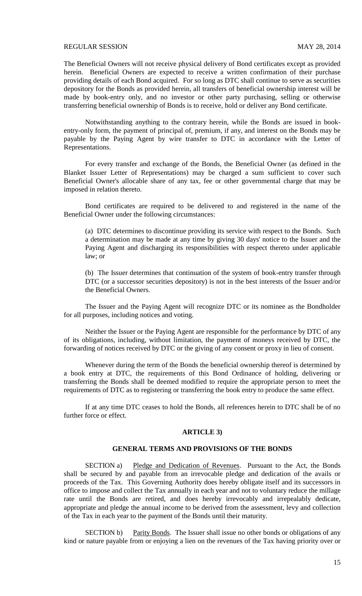The Beneficial Owners will not receive physical delivery of Bond certificates except as provided herein. Beneficial Owners are expected to receive a written confirmation of their purchase providing details of each Bond acquired. For so long as DTC shall continue to serve as securities depository for the Bonds as provided herein, all transfers of beneficial ownership interest will be made by book-entry only, and no investor or other party purchasing, selling or otherwise transferring beneficial ownership of Bonds is to receive, hold or deliver any Bond certificate.

Notwithstanding anything to the contrary herein, while the Bonds are issued in bookentry-only form, the payment of principal of, premium, if any, and interest on the Bonds may be payable by the Paying Agent by wire transfer to DTC in accordance with the Letter of Representations.

For every transfer and exchange of the Bonds, the Beneficial Owner (as defined in the Blanket Issuer Letter of Representations) may be charged a sum sufficient to cover such Beneficial Owner's allocable share of any tax, fee or other governmental charge that may be imposed in relation thereto.

Bond certificates are required to be delivered to and registered in the name of the Beneficial Owner under the following circumstances:

(a) DTC determines to discontinue providing its service with respect to the Bonds. Such a determination may be made at any time by giving 30 days' notice to the Issuer and the Paying Agent and discharging its responsibilities with respect thereto under applicable law; or

(b) The Issuer determines that continuation of the system of book-entry transfer through DTC (or a successor securities depository) is not in the best interests of the Issuer and/or the Beneficial Owners.

The Issuer and the Paying Agent will recognize DTC or its nominee as the Bondholder for all purposes, including notices and voting.

Neither the Issuer or the Paying Agent are responsible for the performance by DTC of any of its obligations, including, without limitation, the payment of moneys received by DTC, the forwarding of notices received by DTC or the giving of any consent or proxy in lieu of consent.

Whenever during the term of the Bonds the beneficial ownership thereof is determined by a book entry at DTC, the requirements of this Bond Ordinance of holding, delivering or transferring the Bonds shall be deemed modified to require the appropriate person to meet the requirements of DTC as to registering or transferring the book entry to produce the same effect.

If at any time DTC ceases to hold the Bonds, all references herein to DTC shall be of no further force or effect.

#### **ARTICLE 3)**

## **GENERAL TERMS AND PROVISIONS OF THE BONDS**

SECTION a) Pledge and Dedication of Revenues. Pursuant to the Act, the Bonds shall be secured by and payable from an irrevocable pledge and dedication of the avails or proceeds of the Tax. This Governing Authority does hereby obligate itself and its successors in office to impose and collect the Tax annually in each year and not to voluntary reduce the millage rate until the Bonds are retired, and does hereby irrevocably and irrepealably dedicate, appropriate and pledge the annual income to be derived from the assessment, levy and collection of the Tax in each year to the payment of the Bonds until their maturity.

SECTION b) Parity Bonds. The Issuer shall issue no other bonds or obligations of any kind or nature payable from or enjoying a lien on the revenues of the Tax having priority over or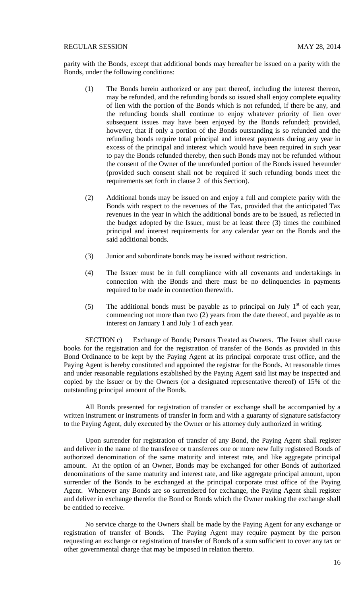parity with the Bonds, except that additional bonds may hereafter be issued on a parity with the Bonds, under the following conditions:

- (1) The Bonds herein authorized or any part thereof, including the interest thereon, may be refunded, and the refunding bonds so issued shall enjoy complete equality of lien with the portion of the Bonds which is not refunded, if there be any, and the refunding bonds shall continue to enjoy whatever priority of lien over subsequent issues may have been enjoyed by the Bonds refunded; provided, however, that if only a portion of the Bonds outstanding is so refunded and the refunding bonds require total principal and interest payments during any year in excess of the principal and interest which would have been required in such year to pay the Bonds refunded thereby, then such Bonds may not be refunded without the consent of the Owner of the unrefunded portion of the Bonds issued hereunder (provided such consent shall not be required if such refunding bonds meet the requirements set forth in clause 2 of this Section).
- (2) Additional bonds may be issued on and enjoy a full and complete parity with the Bonds with respect to the revenues of the Tax, provided that the anticipated Tax revenues in the year in which the additional bonds are to be issued, as reflected in the budget adopted by the Issuer, must be at least three (3) times the combined principal and interest requirements for any calendar year on the Bonds and the said additional bonds.
- (3) Junior and subordinate bonds may be issued without restriction.
- (4) The Issuer must be in full compliance with all covenants and undertakings in connection with the Bonds and there must be no delinquencies in payments required to be made in connection therewith.
- (5) The additional bonds must be payable as to principal on July  $1<sup>st</sup>$  of each year, commencing not more than two (2) years from the date thereof, and payable as to interest on January 1 and July 1 of each year.

SECTION c) Exchange of Bonds; Persons Treated as Owners. The Issuer shall cause books for the registration and for the registration of transfer of the Bonds as provided in this Bond Ordinance to be kept by the Paying Agent at its principal corporate trust office, and the Paying Agent is hereby constituted and appointed the registrar for the Bonds. At reasonable times and under reasonable regulations established by the Paying Agent said list may be inspected and copied by the Issuer or by the Owners (or a designated representative thereof) of 15% of the outstanding principal amount of the Bonds.

All Bonds presented for registration of transfer or exchange shall be accompanied by a written instrument or instruments of transfer in form and with a guaranty of signature satisfactory to the Paying Agent, duly executed by the Owner or his attorney duly authorized in writing.

Upon surrender for registration of transfer of any Bond, the Paying Agent shall register and deliver in the name of the transferee or transferees one or more new fully registered Bonds of authorized denomination of the same maturity and interest rate, and like aggregate principal amount. At the option of an Owner, Bonds may be exchanged for other Bonds of authorized denominations of the same maturity and interest rate, and like aggregate principal amount, upon surrender of the Bonds to be exchanged at the principal corporate trust office of the Paying Agent. Whenever any Bonds are so surrendered for exchange, the Paying Agent shall register and deliver in exchange therefor the Bond or Bonds which the Owner making the exchange shall be entitled to receive.

No service charge to the Owners shall be made by the Paying Agent for any exchange or registration of transfer of Bonds. The Paying Agent may require payment by the person requesting an exchange or registration of transfer of Bonds of a sum sufficient to cover any tax or other governmental charge that may be imposed in relation thereto.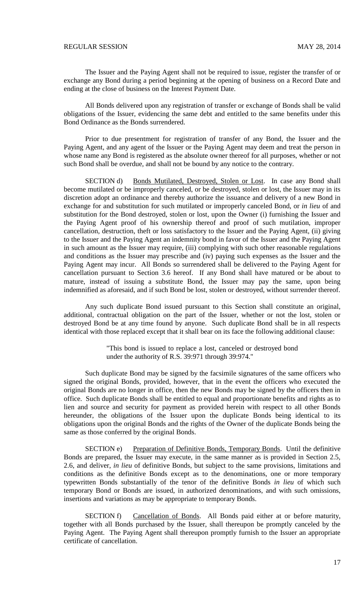The Issuer and the Paying Agent shall not be required to issue, register the transfer of or exchange any Bond during a period beginning at the opening of business on a Record Date and ending at the close of business on the Interest Payment Date.

All Bonds delivered upon any registration of transfer or exchange of Bonds shall be valid obligations of the Issuer, evidencing the same debt and entitled to the same benefits under this Bond Ordinance as the Bonds surrendered.

Prior to due presentment for registration of transfer of any Bond, the Issuer and the Paying Agent, and any agent of the Issuer or the Paying Agent may deem and treat the person in whose name any Bond is registered as the absolute owner thereof for all purposes, whether or not such Bond shall be overdue, and shall not be bound by any notice to the contrary.

SECTION d) Bonds Mutilated, Destroyed, Stolen or Lost. In case any Bond shall become mutilated or be improperly canceled, or be destroyed, stolen or lost, the Issuer may in its discretion adopt an ordinance and thereby authorize the issuance and delivery of a new Bond in exchange for and substitution for such mutilated or improperly canceled Bond, or *in lieu* of and substitution for the Bond destroyed, stolen or lost, upon the Owner (i) furnishing the Issuer and the Paying Agent proof of his ownership thereof and proof of such mutilation, improper cancellation, destruction, theft or loss satisfactory to the Issuer and the Paying Agent, (ii) giving to the Issuer and the Paying Agent an indemnity bond in favor of the Issuer and the Paying Agent in such amount as the Issuer may require, (iii) complying with such other reasonable regulations and conditions as the Issuer may prescribe and (iv) paying such expenses as the Issuer and the Paying Agent may incur. All Bonds so surrendered shall be delivered to the Paying Agent for cancellation pursuant to Section 3.6 hereof. If any Bond shall have matured or be about to mature, instead of issuing a substitute Bond, the Issuer may pay the same, upon being indemnified as aforesaid, and if such Bond be lost, stolen or destroyed, without surrender thereof.

Any such duplicate Bond issued pursuant to this Section shall constitute an original, additional, contractual obligation on the part of the Issuer, whether or not the lost, stolen or destroyed Bond be at any time found by anyone. Such duplicate Bond shall be in all respects identical with those replaced except that it shall bear on its face the following additional clause:

> "This bond is issued to replace a lost, canceled or destroyed bond under the authority of R.S. 39:971 through 39:974."

Such duplicate Bond may be signed by the facsimile signatures of the same officers who signed the original Bonds, provided, however, that in the event the officers who executed the original Bonds are no longer in office, then the new Bonds may be signed by the officers then in office. Such duplicate Bonds shall be entitled to equal and proportionate benefits and rights as to lien and source and security for payment as provided herein with respect to all other Bonds hereunder, the obligations of the Issuer upon the duplicate Bonds being identical to its obligations upon the original Bonds and the rights of the Owner of the duplicate Bonds being the same as those conferred by the original Bonds.

SECTION e) Preparation of Definitive Bonds, Temporary Bonds. Until the definitive Bonds are prepared, the Issuer may execute, in the same manner as is provided in Section 2.5, 2.6, and deliver, *in lieu* of definitive Bonds, but subject to the same provisions, limitations and conditions as the definitive Bonds except as to the denominations, one or more temporary typewritten Bonds substantially of the tenor of the definitive Bonds *in lieu* of which such temporary Bond or Bonds are issued, in authorized denominations, and with such omissions, insertions and variations as may be appropriate to temporary Bonds.

SECTION f) Cancellation of Bonds. All Bonds paid either at or before maturity, together with all Bonds purchased by the Issuer, shall thereupon be promptly canceled by the Paying Agent. The Paying Agent shall thereupon promptly furnish to the Issuer an appropriate certificate of cancellation.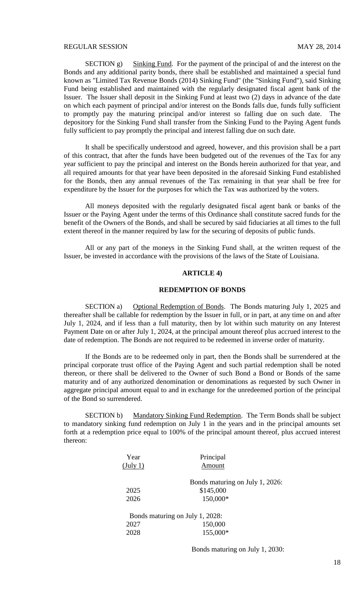SECTION g) Sinking Fund. For the payment of the principal of and the interest on the Bonds and any additional parity bonds, there shall be established and maintained a special fund known as "Limited Tax Revenue Bonds (2014) Sinking Fund" (the "Sinking Fund"), said Sinking Fund being established and maintained with the regularly designated fiscal agent bank of the Issuer. The Issuer shall deposit in the Sinking Fund at least two (2) days in advance of the date on which each payment of principal and/or interest on the Bonds falls due, funds fully sufficient to promptly pay the maturing principal and/or interest so falling due on such date. The depository for the Sinking Fund shall transfer from the Sinking Fund to the Paying Agent funds fully sufficient to pay promptly the principal and interest falling due on such date.

It shall be specifically understood and agreed, however, and this provision shall be a part of this contract, that after the funds have been budgeted out of the revenues of the Tax for any year sufficient to pay the principal and interest on the Bonds herein authorized for that year, and all required amounts for that year have been deposited in the aforesaid Sinking Fund established for the Bonds, then any annual revenues of the Tax remaining in that year shall be free for expenditure by the Issuer for the purposes for which the Tax was authorized by the voters.

All moneys deposited with the regularly designated fiscal agent bank or banks of the Issuer or the Paying Agent under the terms of this Ordinance shall constitute sacred funds for the benefit of the Owners of the Bonds, and shall be secured by said fiduciaries at all times to the full extent thereof in the manner required by law for the securing of deposits of public funds.

All or any part of the moneys in the Sinking Fund shall, at the written request of the Issuer, be invested in accordance with the provisions of the laws of the State of Louisiana.

## **ARTICLE 4)**

### **REDEMPTION OF BONDS**

SECTION a) Optional Redemption of Bonds. The Bonds maturing July 1, 2025 and thereafter shall be callable for redemption by the Issuer in full, or in part, at any time on and after July 1, 2024, and if less than a full maturity, then by lot within such maturity on any Interest Payment Date on or after July 1, 2024, at the principal amount thereof plus accrued interest to the date of redemption. The Bonds are not required to be redeemed in inverse order of maturity.

If the Bonds are to be redeemed only in part, then the Bonds shall be surrendered at the principal corporate trust office of the Paying Agent and such partial redemption shall be noted thereon, or there shall be delivered to the Owner of such Bond a Bond or Bonds of the same maturity and of any authorized denomination or denominations as requested by such Owner in aggregate principal amount equal to and in exchange for the unredeemed portion of the principal of the Bond so surrendered.

SECTION b) Mandatory Sinking Fund Redemption. The Term Bonds shall be subject to mandatory sinking fund redemption on July 1 in the years and in the principal amounts set forth at a redemption price equal to 100% of the principal amount thereof, plus accrued interest thereon:

| Year               | Principal                       |
|--------------------|---------------------------------|
| $(\text{July } 1)$ | Amount                          |
|                    | Bonds maturing on July 1, 2026: |
| 2025               | \$145,000                       |
| 2026               | 150,000*                        |
|                    | Bonds maturing on July 1, 2028: |
| 2027               | 150,000                         |
| 2028               | 155,000*                        |
|                    |                                 |

Bonds maturing on July 1, 2030: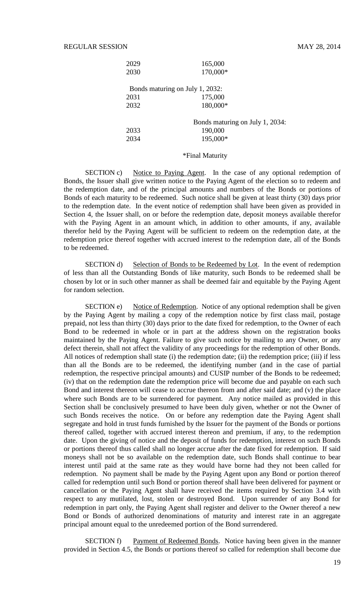| 2029 | 165,000                         |
|------|---------------------------------|
| 2030 | 170,000*                        |
|      | Bonds maturing on July 1, 2032: |
| 2031 | 175,000                         |
| 2032 | 180,000*                        |
|      | Bonds maturing on July 1, 2034: |
| 2033 | 190,000                         |
| 2034 | 195,000*                        |
|      |                                 |

### \*Final Maturity

SECTION c) Notice to Paying Agent. In the case of any optional redemption of Bonds, the Issuer shall give written notice to the Paying Agent of the election so to redeem and the redemption date, and of the principal amounts and numbers of the Bonds or portions of Bonds of each maturity to be redeemed. Such notice shall be given at least thirty (30) days prior to the redemption date. In the event notice of redemption shall have been given as provided in Section 4, the Issuer shall, on or before the redemption date, deposit moneys available therefor with the Paying Agent in an amount which, in addition to other amounts, if any, available therefor held by the Paying Agent will be sufficient to redeem on the redemption date, at the redemption price thereof together with accrued interest to the redemption date, all of the Bonds to be redeemed.

SECTION d) Selection of Bonds to be Redeemed by Lot. In the event of redemption of less than all the Outstanding Bonds of like maturity, such Bonds to be redeemed shall be chosen by lot or in such other manner as shall be deemed fair and equitable by the Paying Agent for random selection.

SECTION e) Notice of Redemption. Notice of any optional redemption shall be given by the Paying Agent by mailing a copy of the redemption notice by first class mail, postage prepaid, not less than thirty (30) days prior to the date fixed for redemption, to the Owner of each Bond to be redeemed in whole or in part at the address shown on the registration books maintained by the Paying Agent. Failure to give such notice by mailing to any Owner, or any defect therein, shall not affect the validity of any proceedings for the redemption of other Bonds. All notices of redemption shall state (i) the redemption date; (ii) the redemption price; (iii) if less than all the Bonds are to be redeemed, the identifying number (and in the case of partial redemption, the respective principal amounts) and CUSIP number of the Bonds to be redeemed; (iv) that on the redemption date the redemption price will become due and payable on each such Bond and interest thereon will cease to accrue thereon from and after said date; and (v) the place where such Bonds are to be surrendered for payment. Any notice mailed as provided in this Section shall be conclusively presumed to have been duly given, whether or not the Owner of such Bonds receives the notice. On or before any redemption date the Paying Agent shall segregate and hold in trust funds furnished by the Issuer for the payment of the Bonds or portions thereof called, together with accrued interest thereon and premium, if any, to the redemption date. Upon the giving of notice and the deposit of funds for redemption, interest on such Bonds or portions thereof thus called shall no longer accrue after the date fixed for redemption. If said moneys shall not be so available on the redemption date, such Bonds shall continue to bear interest until paid at the same rate as they would have borne had they not been called for redemption. No payment shall be made by the Paying Agent upon any Bond or portion thereof called for redemption until such Bond or portion thereof shall have been delivered for payment or cancellation or the Paying Agent shall have received the items required by Section 3.4 with respect to any mutilated, lost, stolen or destroyed Bond. Upon surrender of any Bond for redemption in part only, the Paying Agent shall register and deliver to the Owner thereof a new Bond or Bonds of authorized denominations of maturity and interest rate in an aggregate principal amount equal to the unredeemed portion of the Bond surrendered.

SECTION f) Payment of Redeemed Bonds. Notice having been given in the manner provided in Section 4.5, the Bonds or portions thereof so called for redemption shall become due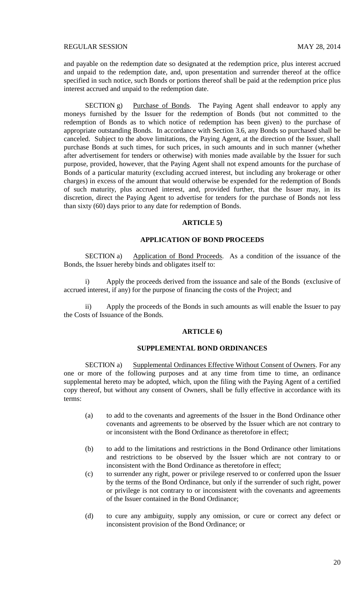and payable on the redemption date so designated at the redemption price, plus interest accrued and unpaid to the redemption date, and, upon presentation and surrender thereof at the office specified in such notice, such Bonds or portions thereof shall be paid at the redemption price plus interest accrued and unpaid to the redemption date.

SECTION g) Purchase of Bonds. The Paying Agent shall endeavor to apply any moneys furnished by the Issuer for the redemption of Bonds (but not committed to the redemption of Bonds as to which notice of redemption has been given) to the purchase of appropriate outstanding Bonds. In accordance with Section 3.6, any Bonds so purchased shall be canceled. Subject to the above limitations, the Paying Agent, at the direction of the Issuer, shall purchase Bonds at such times, for such prices, in such amounts and in such manner (whether after advertisement for tenders or otherwise) with monies made available by the Issuer for such purpose, provided, however, that the Paying Agent shall not expend amounts for the purchase of Bonds of a particular maturity (excluding accrued interest, but including any brokerage or other charges) in excess of the amount that would otherwise be expended for the redemption of Bonds of such maturity, plus accrued interest, and, provided further, that the Issuer may, in its discretion, direct the Paying Agent to advertise for tenders for the purchase of Bonds not less than sixty (60) days prior to any date for redemption of Bonds.

#### **ARTICLE 5)**

## **APPLICATION OF BOND PROCEEDS**

SECTION a) Application of Bond Proceeds. As a condition of the issuance of the Bonds, the Issuer hereby binds and obligates itself to:

i) Apply the proceeds derived from the issuance and sale of the Bonds (exclusive of accrued interest, if any) for the purpose of financing the costs of the Project; and

ii) Apply the proceeds of the Bonds in such amounts as will enable the Issuer to pay the Costs of Issuance of the Bonds.

#### **ARTICLE 6)**

# **SUPPLEMENTAL BOND ORDINANCES**

SECTION a) Supplemental Ordinances Effective Without Consent of Owners. For any one or more of the following purposes and at any time from time to time, an ordinance supplemental hereto may be adopted, which, upon the filing with the Paying Agent of a certified copy thereof, but without any consent of Owners, shall be fully effective in accordance with its terms:

- (a) to add to the covenants and agreements of the Issuer in the Bond Ordinance other covenants and agreements to be observed by the Issuer which are not contrary to or inconsistent with the Bond Ordinance as theretofore in effect;
- (b) to add to the limitations and restrictions in the Bond Ordinance other limitations and restrictions to be observed by the Issuer which are not contrary to or inconsistent with the Bond Ordinance as theretofore in effect;
- (c) to surrender any right, power or privilege reserved to or conferred upon the Issuer by the terms of the Bond Ordinance, but only if the surrender of such right, power or privilege is not contrary to or inconsistent with the covenants and agreements of the Issuer contained in the Bond Ordinance;
- (d) to cure any ambiguity, supply any omission, or cure or correct any defect or inconsistent provision of the Bond Ordinance; or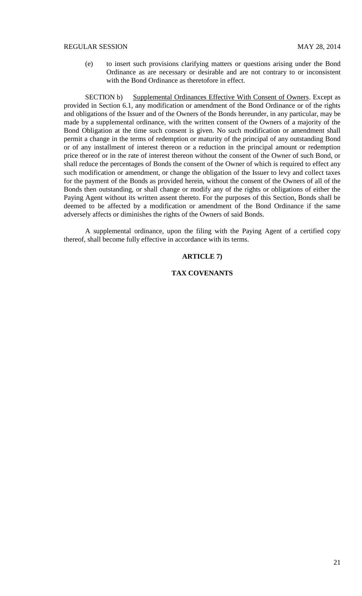(e) to insert such provisions clarifying matters or questions arising under the Bond Ordinance as are necessary or desirable and are not contrary to or inconsistent with the Bond Ordinance as theretofore in effect.

SECTION b) Supplemental Ordinances Effective With Consent of Owners. Except as provided in Section 6.1, any modification or amendment of the Bond Ordinance or of the rights and obligations of the Issuer and of the Owners of the Bonds hereunder, in any particular, may be made by a supplemental ordinance, with the written consent of the Owners of a majority of the Bond Obligation at the time such consent is given. No such modification or amendment shall permit a change in the terms of redemption or maturity of the principal of any outstanding Bond or of any installment of interest thereon or a reduction in the principal amount or redemption price thereof or in the rate of interest thereon without the consent of the Owner of such Bond, or shall reduce the percentages of Bonds the consent of the Owner of which is required to effect any such modification or amendment, or change the obligation of the Issuer to levy and collect taxes for the payment of the Bonds as provided herein, without the consent of the Owners of all of the Bonds then outstanding, or shall change or modify any of the rights or obligations of either the Paying Agent without its written assent thereto. For the purposes of this Section, Bonds shall be deemed to be affected by a modification or amendment of the Bond Ordinance if the same adversely affects or diminishes the rights of the Owners of said Bonds.

A supplemental ordinance, upon the filing with the Paying Agent of a certified copy thereof, shall become fully effective in accordance with its terms.

## **ARTICLE 7)**

# **TAX COVENANTS**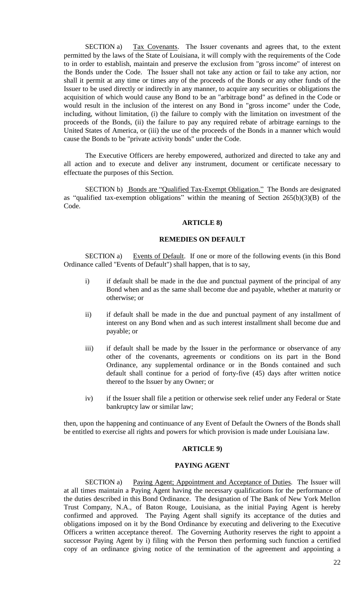SECTION a) Tax Covenants. The Issuer covenants and agrees that, to the extent permitted by the laws of the State of Louisiana, it will comply with the requirements of the Code to in order to establish, maintain and preserve the exclusion from "gross income" of interest on the Bonds under the Code. The Issuer shall not take any action or fail to take any action, nor shall it permit at any time or times any of the proceeds of the Bonds or any other funds of the Issuer to be used directly or indirectly in any manner, to acquire any securities or obligations the acquisition of which would cause any Bond to be an "arbitrage bond" as defined in the Code or would result in the inclusion of the interest on any Bond in "gross income" under the Code, including, without limitation, (i) the failure to comply with the limitation on investment of the proceeds of the Bonds, (ii) the failure to pay any required rebate of arbitrage earnings to the United States of America, or (iii) the use of the proceeds of the Bonds in a manner which would cause the Bonds to be "private activity bonds" under the Code.

The Executive Officers are hereby empowered, authorized and directed to take any and all action and to execute and deliver any instrument, document or certificate necessary to effectuate the purposes of this Section.

SECTION b) Bonds are "Qualified Tax-Exempt Obligation." The Bonds are designated as "qualified tax-exemption obligations" within the meaning of Section 265(b)(3)(B) of the Code.

#### **ARTICLE 8)**

### **REMEDIES ON DEFAULT**

SECTION a) Events of Default. If one or more of the following events (in this Bond Ordinance called "Events of Default") shall happen, that is to say,

- i) if default shall be made in the due and punctual payment of the principal of any Bond when and as the same shall become due and payable, whether at maturity or otherwise; or
- ii) if default shall be made in the due and punctual payment of any installment of interest on any Bond when and as such interest installment shall become due and payable; or
- iii) if default shall be made by the Issuer in the performance or observance of any other of the covenants, agreements or conditions on its part in the Bond Ordinance, any supplemental ordinance or in the Bonds contained and such default shall continue for a period of forty-five (45) days after written notice thereof to the Issuer by any Owner; or
- iv) if the Issuer shall file a petition or otherwise seek relief under any Federal or State bankruptcy law or similar law;

then, upon the happening and continuance of any Event of Default the Owners of the Bonds shall be entitled to exercise all rights and powers for which provision is made under Louisiana law.

#### **ARTICLE 9)**

### **PAYING AGENT**

SECTION a) Paying Agent; Appointment and Acceptance of Duties. The Issuer will at all times maintain a Paying Agent having the necessary qualifications for the performance of the duties described in this Bond Ordinance. The designation of The Bank of New York Mellon Trust Company, N.A., of Baton Rouge, Louisiana, as the initial Paying Agent is hereby confirmed and approved. The Paying Agent shall signify its acceptance of the duties and obligations imposed on it by the Bond Ordinance by executing and delivering to the Executive Officers a written acceptance thereof. The Governing Authority reserves the right to appoint a successor Paying Agent by i) filing with the Person then performing such function a certified copy of an ordinance giving notice of the termination of the agreement and appointing a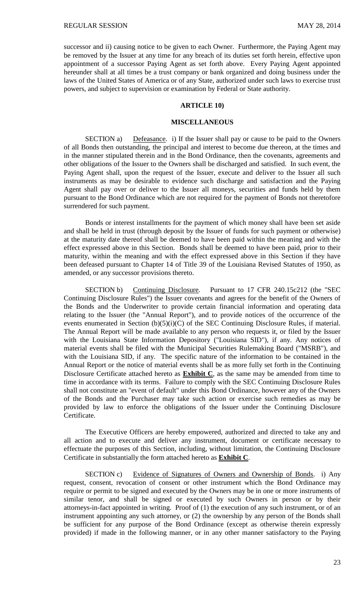successor and ii) causing notice to be given to each Owner. Furthermore, the Paying Agent may be removed by the Issuer at any time for any breach of its duties set forth herein, effective upon appointment of a successor Paying Agent as set forth above. Every Paying Agent appointed hereunder shall at all times be a trust company or bank organized and doing business under the laws of the United States of America or of any State, authorized under such laws to exercise trust powers, and subject to supervision or examination by Federal or State authority.

## **ARTICLE 10)**

## **MISCELLANEOUS**

SECTION a) Defeasance. i) If the Issuer shall pay or cause to be paid to the Owners of all Bonds then outstanding, the principal and interest to become due thereon, at the times and in the manner stipulated therein and in the Bond Ordinance, then the covenants, agreements and other obligations of the Issuer to the Owners shall be discharged and satisfied. In such event, the Paying Agent shall, upon the request of the Issuer, execute and deliver to the Issuer all such instruments as may be desirable to evidence such discharge and satisfaction and the Paying Agent shall pay over or deliver to the Issuer all moneys, securities and funds held by them pursuant to the Bond Ordinance which are not required for the payment of Bonds not theretofore surrendered for such payment.

Bonds or interest installments for the payment of which money shall have been set aside and shall be held in trust (through deposit by the Issuer of funds for such payment or otherwise) at the maturity date thereof shall be deemed to have been paid within the meaning and with the effect expressed above in this Section. Bonds shall be deemed to have been paid, prior to their maturity, within the meaning and with the effect expressed above in this Section if they have been defeased pursuant to Chapter 14 of Title 39 of the Louisiana Revised Statutes of 1950, as amended, or any successor provisions thereto.

SECTION b) Continuing Disclosure. Pursuant to 17 CFR 240.15c212 (the "SEC Continuing Disclosure Rules") the Issuer covenants and agrees for the benefit of the Owners of the Bonds and the Underwriter to provide certain financial information and operating data relating to the Issuer (the "Annual Report"), and to provide notices of the occurrence of the events enumerated in Section  $(b)(5)(i)(C)$  of the SEC Continuing Disclosure Rules, if material. The Annual Report will be made available to any person who requests it, or filed by the Issuer with the Louisiana State Information Depository ("Louisiana SID"), if any. Any notices of material events shall be filed with the Municipal Securities Rulemaking Board ("MSRB"), and with the Louisiana SID, if any. The specific nature of the information to be contained in the Annual Report or the notice of material events shall be as more fully set forth in the Continuing Disclosure Certificate attached hereto as **Exhibit C**, as the same may be amended from time to time in accordance with its terms. Failure to comply with the SEC Continuing Disclosure Rules shall not constitute an "event of default" under this Bond Ordinance, however any of the Owners of the Bonds and the Purchaser may take such action or exercise such remedies as may be provided by law to enforce the obligations of the Issuer under the Continuing Disclosure Certificate.

The Executive Officers are hereby empowered, authorized and directed to take any and all action and to execute and deliver any instrument, document or certificate necessary to effectuate the purposes of this Section, including, without limitation, the Continuing Disclosure Certificate in substantially the form attached hereto as **Exhibit C**.

SECTION c) Evidence of Signatures of Owners and Ownership of Bonds. i) Any request, consent, revocation of consent or other instrument which the Bond Ordinance may require or permit to be signed and executed by the Owners may be in one or more instruments of similar tenor, and shall be signed or executed by such Owners in person or by their attorneys-in-fact appointed in writing. Proof of (1) the execution of any such instrument, or of an instrument appointing any such attorney, or (2) the ownership by any person of the Bonds shall be sufficient for any purpose of the Bond Ordinance (except as otherwise therein expressly provided) if made in the following manner, or in any other manner satisfactory to the Paying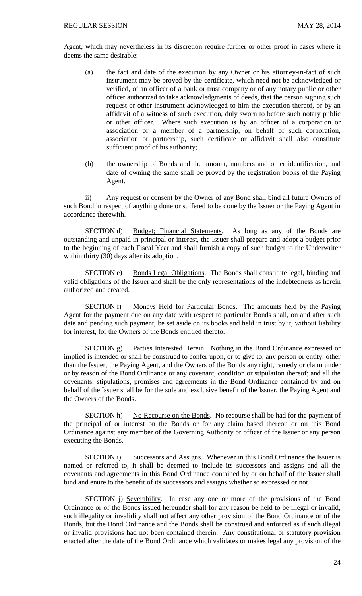Agent, which may nevertheless in its discretion require further or other proof in cases where it deems the same desirable:

- (a) the fact and date of the execution by any Owner or his attorney-in-fact of such instrument may be proved by the certificate, which need not be acknowledged or verified, of an officer of a bank or trust company or of any notary public or other officer authorized to take acknowledgments of deeds, that the person signing such request or other instrument acknowledged to him the execution thereof, or by an affidavit of a witness of such execution, duly sworn to before such notary public or other officer. Where such execution is by an officer of a corporation or association or a member of a partnership, on behalf of such corporation, association or partnership, such certificate or affidavit shall also constitute sufficient proof of his authority;
- (b) the ownership of Bonds and the amount, numbers and other identification, and date of owning the same shall be proved by the registration books of the Paying Agent.

ii) Any request or consent by the Owner of any Bond shall bind all future Owners of such Bond in respect of anything done or suffered to be done by the Issuer or the Paying Agent in accordance therewith.

SECTION d) Budget; Financial Statements. As long as any of the Bonds are outstanding and unpaid in principal or interest, the Issuer shall prepare and adopt a budget prior to the beginning of each Fiscal Year and shall furnish a copy of such budget to the Underwriter within thirty (30) days after its adoption.

SECTION e) Bonds Legal Obligations. The Bonds shall constitute legal, binding and valid obligations of the Issuer and shall be the only representations of the indebtedness as herein authorized and created.

SECTION f) Moneys Held for Particular Bonds. The amounts held by the Paying Agent for the payment due on any date with respect to particular Bonds shall, on and after such date and pending such payment, be set aside on its books and held in trust by it, without liability for interest, for the Owners of the Bonds entitled thereto.

SECTION g) Parties Interested Herein. Nothing in the Bond Ordinance expressed or implied is intended or shall be construed to confer upon, or to give to, any person or entity, other than the Issuer, the Paying Agent, and the Owners of the Bonds any right, remedy or claim under or by reason of the Bond Ordinance or any covenant, condition or stipulation thereof; and all the covenants, stipulations, promises and agreements in the Bond Ordinance contained by and on behalf of the Issuer shall be for the sole and exclusive benefit of the Issuer, the Paying Agent and the Owners of the Bonds.

SECTION h) No Recourse on the Bonds. No recourse shall be had for the payment of the principal of or interest on the Bonds or for any claim based thereon or on this Bond Ordinance against any member of the Governing Authority or officer of the Issuer or any person executing the Bonds.

SECTION i) Successors and Assigns. Whenever in this Bond Ordinance the Issuer is named or referred to, it shall be deemed to include its successors and assigns and all the covenants and agreements in this Bond Ordinance contained by or on behalf of the Issuer shall bind and enure to the benefit of its successors and assigns whether so expressed or not.

SECTION j) Severability. In case any one or more of the provisions of the Bond Ordinance or of the Bonds issued hereunder shall for any reason be held to be illegal or invalid, such illegality or invalidity shall not affect any other provision of the Bond Ordinance or of the Bonds, but the Bond Ordinance and the Bonds shall be construed and enforced as if such illegal or invalid provisions had not been contained therein. Any constitutional or statutory provision enacted after the date of the Bond Ordinance which validates or makes legal any provision of the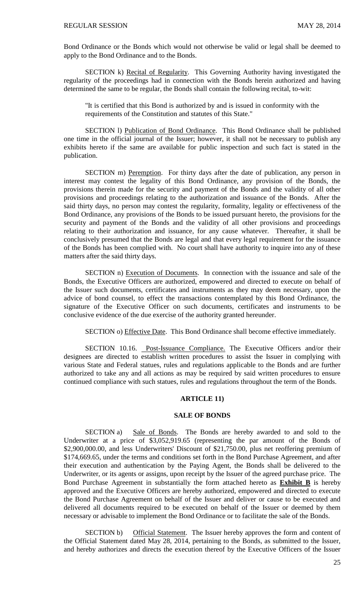Bond Ordinance or the Bonds which would not otherwise be valid or legal shall be deemed to apply to the Bond Ordinance and to the Bonds.

SECTION k) Recital of Regularity. This Governing Authority having investigated the regularity of the proceedings had in connection with the Bonds herein authorized and having determined the same to be regular, the Bonds shall contain the following recital, to-wit:

"It is certified that this Bond is authorized by and is issued in conformity with the requirements of the Constitution and statutes of this State."

SECTION l) Publication of Bond Ordinance. This Bond Ordinance shall be published one time in the official journal of the Issuer; however, it shall not be necessary to publish any exhibits hereto if the same are available for public inspection and such fact is stated in the publication.

SECTION m) Peremption. For thirty days after the date of publication, any person in interest may contest the legality of this Bond Ordinance, any provision of the Bonds, the provisions therein made for the security and payment of the Bonds and the validity of all other provisions and proceedings relating to the authorization and issuance of the Bonds. After the said thirty days, no person may contest the regularity, formality, legality or effectiveness of the Bond Ordinance, any provisions of the Bonds to be issued pursuant hereto, the provisions for the security and payment of the Bonds and the validity of all other provisions and proceedings relating to their authorization and issuance, for any cause whatever. Thereafter, it shall be conclusively presumed that the Bonds are legal and that every legal requirement for the issuance of the Bonds has been complied with. No court shall have authority to inquire into any of these matters after the said thirty days.

SECTION n) Execution of Documents. In connection with the issuance and sale of the Bonds, the Executive Officers are authorized, empowered and directed to execute on behalf of the Issuer such documents, certificates and instruments as they may deem necessary, upon the advice of bond counsel, to effect the transactions contemplated by this Bond Ordinance, the signature of the Executive Officer on such documents, certificates and instruments to be conclusive evidence of the due exercise of the authority granted hereunder.

SECTION o) Effective Date. This Bond Ordinance shall become effective immediately.

SECTION 10.16. Post-Issuance Compliance. The Executive Officers and/or their designees are directed to establish written procedures to assist the Issuer in complying with various State and Federal statues, rules and regulations applicable to the Bonds and are further authorized to take any and all actions as may be required by said written procedures to ensure continued compliance with such statues, rules and regulations throughout the term of the Bonds.

## **ARTICLE 11)**

#### **SALE OF BONDS**

SECTION a) Sale of Bonds. The Bonds are hereby awarded to and sold to the Underwriter at a price of \$3,052,919.65 (representing the par amount of the Bonds of \$2,900,000.00, and less Underwriters' Discount of \$21,750.00, plus net reoffering premium of \$174,669.65, under the terms and conditions set forth in the Bond Purchase Agreement, and after their execution and authentication by the Paying Agent, the Bonds shall be delivered to the Underwriter, or its agents or assigns, upon receipt by the Issuer of the agreed purchase price. The Bond Purchase Agreement in substantially the form attached hereto as **Exhibit B** is hereby approved and the Executive Officers are hereby authorized, empowered and directed to execute the Bond Purchase Agreement on behalf of the Issuer and deliver or cause to be executed and delivered all documents required to be executed on behalf of the Issuer or deemed by them necessary or advisable to implement the Bond Ordinance or to facilitate the sale of the Bonds.

SECTION b) Official Statement. The Issuer hereby approves the form and content of the Official Statement dated May 28, 2014, pertaining to the Bonds, as submitted to the Issuer, and hereby authorizes and directs the execution thereof by the Executive Officers of the Issuer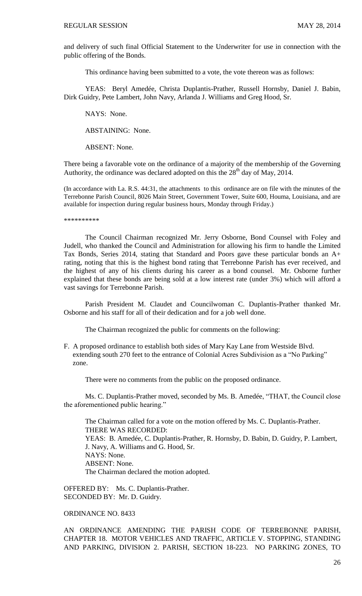and delivery of such final Official Statement to the Underwriter for use in connection with the public offering of the Bonds.

This ordinance having been submitted to a vote, the vote thereon was as follows:

YEAS: Beryl Amedée, Christa Duplantis-Prather, Russell Hornsby, Daniel J. Babin, Dirk Guidry, Pete Lambert, John Navy, Arlanda J. Williams and Greg Hood, Sr.

NAYS: None.

ABSTAINING: None.

ABSENT: None.

There being a favorable vote on the ordinance of a majority of the membership of the Governing Authority, the ordinance was declared adopted on this the  $28<sup>th</sup>$  day of May, 2014.

(In accordance with La. R.S. 44:31, the attachments to this ordinance are on file with the minutes of the Terrebonne Parish Council, 8026 Main Street, Government Tower, Suite 600, Houma, Louisiana, and are available for inspection during regular business hours, Monday through Friday.)

\*\*\*\*\*\*\*\*\*\*

The Council Chairman recognized Mr. Jerry Osborne, Bond Counsel with Foley and Judell, who thanked the Council and Administration for allowing his firm to handle the Limited Tax Bonds, Series 2014, stating that Standard and Poors gave these particular bonds an A+ rating, noting that this is the highest bond rating that Terrebonne Parish has ever received, and the highest of any of his clients during his career as a bond counsel. Mr. Osborne further explained that these bonds are being sold at a low interest rate (under 3%) which will afford a vast savings for Terrebonne Parish.

Parish President M. Claudet and Councilwoman C. Duplantis-Prather thanked Mr. Osborne and his staff for all of their dedication and for a job well done.

The Chairman recognized the public for comments on the following:

F. A proposed ordinance to establish both sides of Mary Kay Lane from Westside Blvd. extending south 270 feet to the entrance of Colonial Acres Subdivision as a "No Parking" zone.

There were no comments from the public on the proposed ordinance.

Ms. C. Duplantis-Prather moved, seconded by Ms. B. Amedée, "THAT, the Council close the aforementioned public hearing."

The Chairman called for a vote on the motion offered by Ms. C. Duplantis-Prather. THERE WAS RECORDED: YEAS: B. Amedée, C. Duplantis-Prather, R. Hornsby, D. Babin, D. Guidry, P. Lambert, J. Navy, A. Williams and G. Hood, Sr. NAYS: None. ABSENT: None. The Chairman declared the motion adopted.

OFFERED BY: Ms. C. Duplantis-Prather. SECONDED BY: Mr. D. Guidry.

## ORDINANCE NO. 8433

AN ORDINANCE AMENDING THE PARISH CODE OF TERREBONNE PARISH, CHAPTER 18. MOTOR VEHICLES AND TRAFFIC, ARTICLE V. STOPPING, STANDING AND PARKING, DIVISION 2. PARISH, SECTION 18-223. NO PARKING ZONES, TO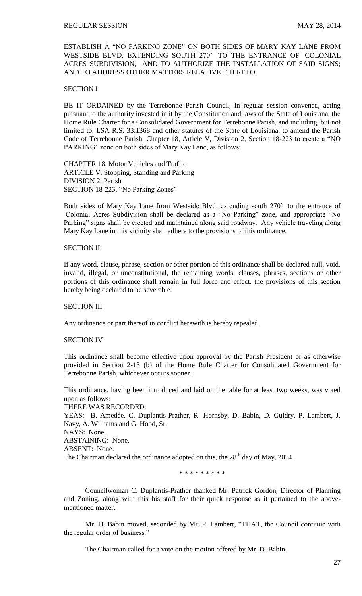ESTABLISH A "NO PARKING ZONE" ON BOTH SIDES OF MARY KAY LANE FROM WESTSIDE BLVD. EXTENDING SOUTH 270' TO THE ENTRANCE OF COLONIAL ACRES SUBDIVISION, AND TO AUTHORIZE THE INSTALLATION OF SAID SIGNS; AND TO ADDRESS OTHER MATTERS RELATIVE THERETO.

# SECTION I

BE IT ORDAINED by the Terrebonne Parish Council, in regular session convened, acting pursuant to the authority invested in it by the Constitution and laws of the State of Louisiana, the Home Rule Charter for a Consolidated Government for Terrebonne Parish, and including, but not limited to, LSA R.S. 33:1368 and other statutes of the State of Louisiana, to amend the Parish Code of Terrebonne Parish, Chapter 18, Article V, Division 2, Section 18-223 to create a "NO PARKING" zone on both sides of Mary Kay Lane, as follows:

CHAPTER 18. Motor Vehicles and Traffic ARTICLE V. Stopping, Standing and Parking DIVISION 2. Parish SECTION 18-223. "No Parking Zones"

Both sides of Mary Kay Lane from Westside Blvd. extending south 270' to the entrance of Colonial Acres Subdivision shall be declared as a "No Parking" zone, and appropriate "No Parking" signs shall be erected and maintained along said roadway. Any vehicle traveling along Mary Kay Lane in this vicinity shall adhere to the provisions of this ordinance.

#### SECTION II

If any word, clause, phrase, section or other portion of this ordinance shall be declared null, void, invalid, illegal, or unconstitutional, the remaining words, clauses, phrases, sections or other portions of this ordinance shall remain in full force and effect, the provisions of this section hereby being declared to be severable.

## **SECTION III**

Any ordinance or part thereof in conflict herewith is hereby repealed.

#### SECTION IV

This ordinance shall become effective upon approval by the Parish President or as otherwise provided in Section 2-13 (b) of the Home Rule Charter for Consolidated Government for Terrebonne Parish, whichever occurs sooner.

This ordinance, having been introduced and laid on the table for at least two weeks, was voted upon as follows: THERE WAS RECORDED:

YEAS: B. Amedée, C. Duplantis-Prather, R. Hornsby, D. Babin, D. Guidry, P. Lambert, J. Navy, A. Williams and G. Hood, Sr.

# NAYS: None.

ABSTAINING: None.

ABSENT: None.

The Chairman declared the ordinance adopted on this, the  $28<sup>th</sup>$  day of May, 2014.

\* \* \* \* \* \* \* \* \*

Councilwoman C. Duplantis-Prather thanked Mr. Patrick Gordon, Director of Planning and Zoning, along with this his staff for their quick response as it pertained to the abovementioned matter.

Mr. D. Babin moved, seconded by Mr. P. Lambert, "THAT, the Council continue with the regular order of business."

The Chairman called for a vote on the motion offered by Mr. D. Babin.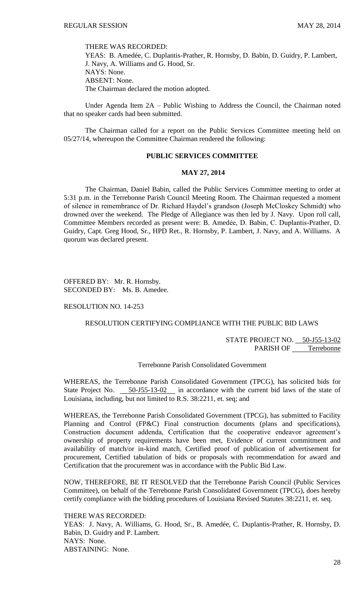THERE WAS RECORDED:

YEAS: B. Amedée, C. Duplantis-Prather, R. Hornsby, D. Babin, D. Guidry, P. Lambert, J. Navy, A. Williams and G. Hood, Sr. NAYS: None. ABSENT: None. The Chairman declared the motion adopted.

Under Agenda Item 2A – Public Wishing to Address the Council, the Chairman noted that no speaker cards had been submitted.

The Chairman called for a report on the Public Services Committee meeting held on 05/27/14, whereupon the Committee Chairman rendered the following:

## **PUBLIC SERVICES COMMITTEE**

#### **MAY 27, 2014**

The Chairman, Daniel Babin, called the Public Services Committee meeting to order at 5:31 p.m. in the Terrebonne Parish Council Meeting Room. The Chairman requested a moment of silence in remembrance of Dr. Richard Haydel's grandson (Joseph McCloskey Schmidt) who drowned over the weekend. The Pledge of Allegiance was then led by J. Navy. Upon roll call, Committee Members recorded as present were: B. Amedẻe, D. Babin, C. Duplantis-Prather, D. Guidry, Capt. Greg Hood, Sr., HPD Ret., R. Hornsby, P. Lambert, J. Navy, and A. Williams. A quorum was declared present.

OFFERED BY: Mr. R. Hornsby. SECONDED BY: Ms. B. Amedee.

## RESOLUTION NO. 14-253

# RESOLUTION CERTIFYING COMPLIANCE WITH THE PUBLIC BID LAWS

STATE PROJECT NO. 50-J55-13-02 PARISH OF Terrebonne

## Terrebonne Parish Consolidated Government

WHEREAS, the Terrebonne Parish Consolidated Government (TPCG), has solicited bids for State Project No. 50-J55-13-02 in accordance with the current bid laws of the state of Louisiana, including, but not limited to R.S. 38:2211, et. seq; and

WHEREAS, the Terrebonne Parish Consolidated Government (TPCG), has submitted to Facility Planning and Control (FP&C) Final construction documents (plans and specifications), Construction document addenda, Certification that the cooperative endeavor agreement's ownership of property requirements have been met, Evidence of current commitment and availability of match/or in-kind match, Certified proof of publication of advertisement for procurement, Certified tabulation of bids or proposals with recommendation for award and Certification that the procurement was in accordance with the Public Bid Law.

NOW, THEREFORE, BE IT RESOLVED that the Terrebonne Parish Council (Public Services Committee), on behalf of the Terrebonne Parish Consolidated Government (TPCG), does hereby certify compliance with the bidding procedures of Louisiana Revised Statutes 38:2211, et. seq.

THERE WAS RECORDED:

YEAS: J. Navy, A. Williams, G. Hood, Sr., B. Amedée, C. Duplantis-Prather, R. Hornsby, D. Babin, D. Guidry and P. Lambert. NAYS: None. ABSTAINING: None.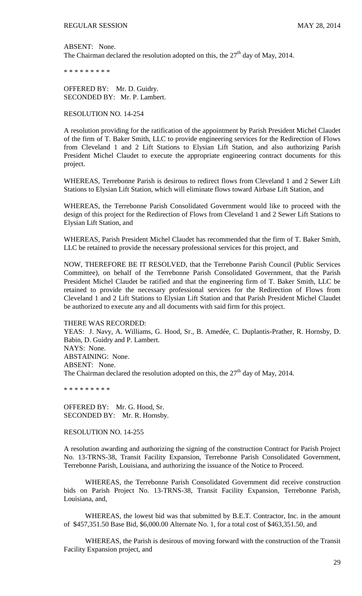ABSENT: None. The Chairman declared the resolution adopted on this, the  $27<sup>th</sup>$  day of May, 2014.

\* \* \* \* \* \* \* \* \*

OFFERED BY: Mr. D. Guidry. SECONDED BY: Mr. P. Lambert.

RESOLUTION NO. 14-254

A resolution providing for the ratification of the appointment by Parish President Michel Claudet of the firm of T. Baker Smith, LLC to provide engineering services for the Redirection of Flows from Cleveland 1 and 2 Lift Stations to Elysian Lift Station, and also authorizing Parish President Michel Claudet to execute the appropriate engineering contract documents for this project.

WHEREAS, Terrebonne Parish is desirous to redirect flows from Cleveland 1 and 2 Sewer Lift Stations to Elysian Lift Station, which will eliminate flows toward Airbase Lift Station, and

WHEREAS, the Terrebonne Parish Consolidated Government would like to proceed with the design of this project for the Redirection of Flows from Cleveland 1 and 2 Sewer Lift Stations to Elysian Lift Station, and

WHEREAS, Parish President Michel Claudet has recommended that the firm of T. Baker Smith, LLC be retained to provide the necessary professional services for this project, and

NOW, THEREFORE BE IT RESOLVED, that the Terrebonne Parish Council (Public Services Committee), on behalf of the Terrebonne Parish Consolidated Government, that the Parish President Michel Claudet be ratified and that the engineering firm of T. Baker Smith, LLC be retained to provide the necessary professional services for the Redirection of Flows from Cleveland 1 and 2 Lift Stations to Elysian Lift Station and that Parish President Michel Claudet be authorized to execute any and all documents with said firm for this project.

THERE WAS RECORDED:

YEAS: J. Navy, A. Williams, G. Hood, Sr., B. Amedée, C. Duplantis-Prather, R. Hornsby, D. Babin, D. Guidry and P. Lambert. NAYS: None. ABSTAINING: None. ABSENT: None. The Chairman declared the resolution adopted on this, the  $27<sup>th</sup>$  day of May, 2014.

\* \* \* \* \* \* \* \* \*

OFFERED BY: Mr. G. Hood, Sr. SECONDED BY: Mr. R. Hornsby.

RESOLUTION NO. 14-255

A resolution awarding and authorizing the signing of the construction Contract for Parish Project No. 13-TRNS-38, Transit Facility Expansion, Terrebonne Parish Consolidated Government, Terrebonne Parish, Louisiana, and authorizing the issuance of the Notice to Proceed.

WHEREAS, the Terrebonne Parish Consolidated Government did receive construction bids on Parish Project No. 13-TRNS-38, Transit Facility Expansion, Terrebonne Parish, Louisiana, and,

WHEREAS, the lowest bid was that submitted by B.E.T. Contractor, Inc. in the amount of \$457,351.50 Base Bid, \$6,000.00 Alternate No. 1, for a total cost of \$463,351.50, and

WHEREAS, the Parish is desirous of moving forward with the construction of the Transit Facility Expansion project, and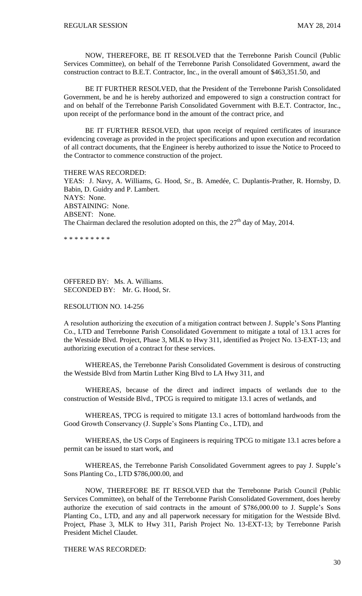NOW, THEREFORE, BE IT RESOLVED that the Terrebonne Parish Council (Public Services Committee), on behalf of the Terrebonne Parish Consolidated Government, award the construction contract to B.E.T. Contractor, Inc., in the overall amount of \$463,351.50, and

BE IT FURTHER RESOLVED, that the President of the Terrebonne Parish Consolidated Government, be and he is hereby authorized and empowered to sign a construction contract for and on behalf of the Terrebonne Parish Consolidated Government with B.E.T. Contractor, Inc., upon receipt of the performance bond in the amount of the contract price, and

BE IT FURTHER RESOLVED, that upon receipt of required certificates of insurance evidencing coverage as provided in the project specifications and upon execution and recordation of all contract documents, that the Engineer is hereby authorized to issue the Notice to Proceed to the Contractor to commence construction of the project.

THERE WAS RECORDED: YEAS: J. Navy, A. Williams, G. Hood, Sr., B. Amedée, C. Duplantis-Prather, R. Hornsby, D. Babin, D. Guidry and P. Lambert. NAYS: None. ABSTAINING: None. ABSENT: None. The Chairman declared the resolution adopted on this, the  $27<sup>th</sup>$  day of May, 2014.

\* \* \* \* \* \* \* \* \*

# OFFERED BY: Ms. A. Williams. SECONDED BY: Mr. G. Hood, Sr.

## RESOLUTION NO. 14-256

A resolution authorizing the execution of a mitigation contract between J. Supple's Sons Planting Co., LTD and Terrebonne Parish Consolidated Government to mitigate a total of 13.1 acres for the Westside Blvd. Project, Phase 3, MLK to Hwy 311, identified as Project No. 13-EXT-13; and authorizing execution of a contract for these services.

WHEREAS, the Terrebonne Parish Consolidated Government is desirous of constructing the Westside Blvd from Martin Luther King Blvd to LA Hwy 311, and

WHEREAS, because of the direct and indirect impacts of wetlands due to the construction of Westside Blvd., TPCG is required to mitigate 13.1 acres of wetlands, and

WHEREAS, TPCG is required to mitigate 13.1 acres of bottomland hardwoods from the Good Growth Conservancy (J. Supple's Sons Planting Co., LTD), and

WHEREAS, the US Corps of Engineers is requiring TPCG to mitigate 13.1 acres before a permit can be issued to start work, and

WHEREAS, the Terrebonne Parish Consolidated Government agrees to pay J. Supple's Sons Planting Co., LTD \$786,000.00, and

NOW, THEREFORE BE IT RESOLVED that the Terrebonne Parish Council (Public Services Committee), on behalf of the Terrebonne Parish Consolidated Government, does hereby authorize the execution of said contracts in the amount of \$786,000.00 to J. Supple's Sons Planting Co., LTD, and any and all paperwork necessary for mitigation for the Westside Blvd. Project, Phase 3, MLK to Hwy 311, Parish Project No. 13-EXT-13; by Terrebonne Parish President Michel Claudet.

## THERE WAS RECORDED: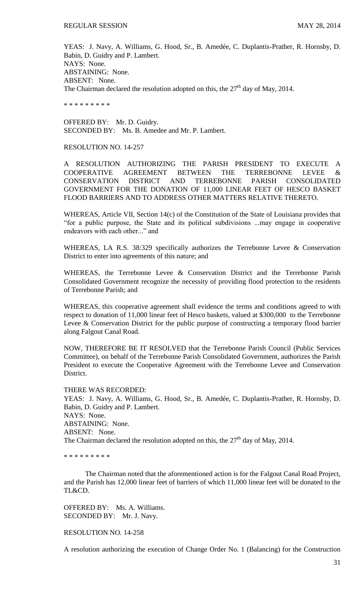YEAS: J. Navy, A. Williams, G. Hood, Sr., B. Amedée, C. Duplantis-Prather, R. Hornsby, D. Babin, D. Guidry and P. Lambert. NAYS: None. ABSTAINING: None. ABSENT: None. The Chairman declared the resolution adopted on this, the  $27<sup>th</sup>$  day of May, 2014.

\* \* \* \* \* \* \* \* \*

OFFERED BY: Mr. D. Guidry. SECONDED BY: Ms. B. Amedee and Mr. P. Lambert.

# RESOLUTION NO. 14-257

A RESOLUTION AUTHORIZING THE PARISH PRESIDENT TO EXECUTE A COOPERATIVE AGREEMENT BETWEEN THE TERREBONNE LEVEE & CONSERVATION DISTRICT AND TERREBONNE PARISH CONSOLIDATED GOVERNMENT FOR THE DONATION OF 11,000 LINEAR FEET OF HESCO BASKET FLOOD BARRIERS AND TO ADDRESS OTHER MATTERS RELATIVE THERETO.

WHEREAS, Article VII, Section 14(c) of the Constitution of the State of Louisiana provides that "for a public purpose, the State and its political subdivisions ...may engage in cooperative endeavors with each other..." and

WHEREAS, LA R.S. 38:329 specifically authorizes the Terrebonne Levee & Conservation District to enter into agreements of this nature; and

WHEREAS, the Terrebonne Levee & Conservation District and the Terrebonne Parish Consolidated Government recognize the necessity of providing flood protection to the residents of Terrebonne Parish; and

WHEREAS, this cooperative agreement shall evidence the terms and conditions agreed to with respect to donation of 11,000 linear feet of Hesco baskets, valued at \$300,000 to the Terrebonne Levee & Conservation District for the public purpose of constructing a temporary flood barrier along Falgout Canal Road.

NOW, THEREFORE BE IT RESOLVED that the Terrebonne Parish Council (Public Services Committee), on behalf of the Terrebonne Parish Consolidated Government, authorizes the Parish President to execute the Cooperative Agreement with the Terrebonne Levee and Conservation District.

#### THERE WAS RECORDED:

YEAS: J. Navy, A. Williams, G. Hood, Sr., B. Amedée, C. Duplantis-Prather, R. Hornsby, D. Babin, D. Guidry and P. Lambert. NAYS: None. ABSTAINING: None. ABSENT: None. The Chairman declared the resolution adopted on this, the  $27<sup>th</sup>$  day of May, 2014.

\* \* \* \* \* \* \* \* \*

The Chairman noted that the aforementioned action is for the Falgout Canal Road Project, and the Parish has 12,000 linear feet of barriers of which 11,000 linear feet will be donated to the TL&CD.

OFFERED BY: Ms. A. Williams. SECONDED BY: Mr. J. Navy.

RESOLUTION NO. 14-258

A resolution authorizing the execution of Change Order No. 1 (Balancing) for the Construction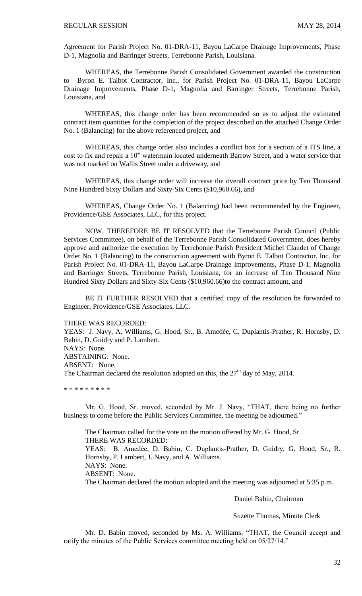Agreement for Parish Project No. 01-DRA-11, Bayou LaCarpe Drainage Improvements, Phase D-1, Magnolia and Barringer Streets, Terrebonne Parish, Louisiana.

WHEREAS, the Terrebonne Parish Consolidated Government awarded the construction to Byron E. Talbot Contractor, Inc., for Parish Project No. 01-DRA-11, Bayou LaCarpe Drainage Improvements, Phase D-1, Magnolia and Barringer Streets, Terrebonne Parish, Louisiana, and

WHEREAS, this change order has been recommended so as to adjust the estimated contract item quantities for the completion of the project described on the attached Change Order No. 1 (Balancing) for the above referenced project, and

WHEREAS, this change order also includes a conflict box for a section of a ITS line, a cost to fix and repair a 10" watermain located underneath Barrow Street, and a water service that was not marked on Wallis Street under a driveway, and

WHEREAS, this change order will increase the overall contract price by Ten Thousand Nine Hundred Sixty Dollars and Sixty-Six Cents (\$10,960.66), and

WHEREAS, Change Order No. 1 (Balancing) had been recommended by the Engineer, Providence/GSE Associates, LLC, for this project.

NOW, THEREFORE BE IT RESOLVED that the Terrebonne Parish Council (Public Services Committee), on behalf of the Terrebonne Parish Consolidated Government, does hereby approve and authorize the execution by Terrebonne Parish President Michel Claudet of Change Order No. 1 (Balancing) to the construction agreement with Byron E. Talbot Contractor, Inc. for Parish Project No. 01-DRA-11, Bayou LaCarpe Drainage Improvements, Phase D-1, Magnolia and Barringer Streets, Terrebonne Parish, Louisiana, for an increase of Ten Thousand Nine Hundred Sixty Dollars and Sixty-Six Cents (\$10,960.66)to the contract amount, and

BE IT FURTHER RESOLVED that a certified copy of the resolution be forwarded to Engineer, Providence/GSE Associates, LLC.

THERE WAS RECORDED:

YEAS: J. Navy, A. Williams, G. Hood, Sr., B. Amedée, C. Duplantis-Prather, R. Hornsby, D. Babin, D. Guidry and P. Lambert. NAYS: None. ABSTAINING: None. ABSENT: None. The Chairman declared the resolution adopted on this, the  $27<sup>th</sup>$  day of May, 2014.

\* \* \* \* \* \* \* \* \*

Mr. G. Hood, Sr. moved, seconded by Mr. J. Navy, "THAT, there being no further business to come before the Public Services Committee, the meeting be adjourned."

The Chairman called for the vote on the motion offered by Mr. G. Hood, Sr. THERE WAS RECORDED: YEAS: B. Amedẻe, D. Babin, C. Duplantis-Prather, D. Guidry, G. Hood, Sr., R. Hornsby, P. Lambert, J. Navy, and A. Williams. NAYS: None. ABSENT: None. The Chairman declared the motion adopted and the meeting was adjourned at 5:35 p.m.

Daniel Babin, Chairman

Suzette Thomas, Minute Clerk

Mr. D. Babin moved, seconded by Ms. A. Williams, "THAT, the Council accept and ratify the minutes of the Public Services committee meeting held on 05/27/14."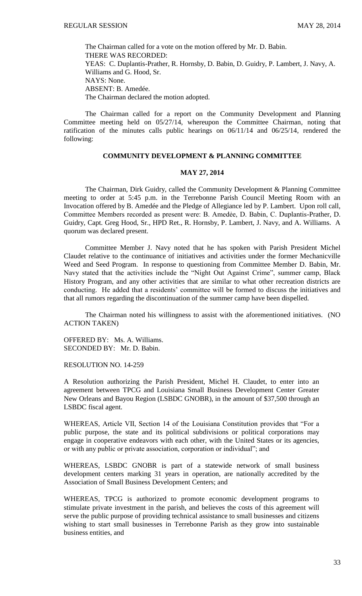The Chairman called for a vote on the motion offered by Mr. D. Babin. THERE WAS RECORDED: YEAS: C. Duplantis-Prather, R. Hornsby, D. Babin, D. Guidry, P. Lambert, J. Navy, A. Williams and G. Hood, Sr. NAYS: None. ABSENT: B. Amedée. The Chairman declared the motion adopted.

The Chairman called for a report on the Community Development and Planning Committee meeting held on 05/27/14, whereupon the Committee Chairman, noting that ratification of the minutes calls public hearings on 06/11/14 and 06/25/14, rendered the following:

# **COMMUNITY DEVELOPMENT & PLANNING COMMITTEE**

#### **MAY 27, 2014**

The Chairman, Dirk Guidry, called the Community Development & Planning Committee meeting to order at 5:45 p.m. in the Terrebonne Parish Council Meeting Room with an Invocation offered by B. Amedée and the Pledge of Allegiance led by P. Lambert. Upon roll call, Committee Members recorded as present were: B. Amedẻe, D. Babin, C. Duplantis-Prather, D. Guidry, Capt. Greg Hood, Sr., HPD Ret., R. Hornsby, P. Lambert, J. Navy, and A. Williams. A quorum was declared present.

Committee Member J. Navy noted that he has spoken with Parish President Michel Claudet relative to the continuance of initiatives and activities under the former Mechanicville Weed and Seed Program. In response to questioning from Committee Member D. Babin, Mr. Navy stated that the activities include the "Night Out Against Crime", summer camp, Black History Program, and any other activities that are similar to what other recreation districts are conducting. He added that a residents' committee will be formed to discuss the initiatives and that all rumors regarding the discontinuation of the summer camp have been dispelled.

The Chairman noted his willingness to assist with the aforementioned initiatives. (NO ACTION TAKEN)

OFFERED BY: Ms. A. Williams. SECONDED BY: Mr. D. Babin.

RESOLUTION NO. 14-259

A Resolution authorizing the Parish President, Michel H. Claudet, to enter into an agreement between TPCG and Louisiana Small Business Development Center Greater New Orleans and Bayou Region (LSBDC GNOBR), in the amount of \$37,500 through an LSBDC fiscal agent.

WHEREAS, Article VII, Section 14 of the Louisiana Constitution provides that "For a public purpose, the state and its political subdivisions or political corporations may engage in cooperative endeavors with each other, with the United States or its agencies, or with any public or private association, corporation or individual"; and

WHEREAS, LSBDC GNOBR is part of a statewide network of small business development centers marking 31 years in operation, are nationally accredited by the Association of Small Business Development Centers; and

WHEREAS, TPCG is authorized to promote economic development programs to stimulate private investment in the parish, and believes the costs of this agreement will serve the public purpose of providing technical assistance to small businesses and citizens wishing to start small businesses in Terrebonne Parish as they grow into sustainable business entities, and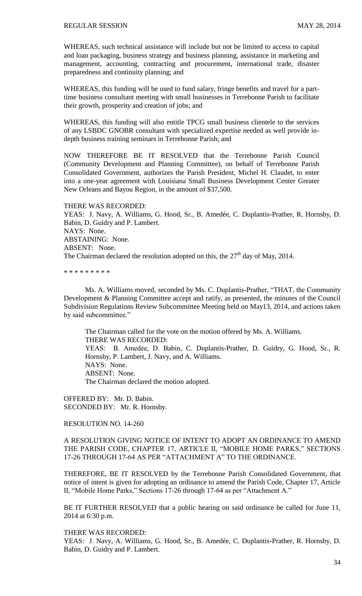WHEREAS, such technical assistance will include but not be limited to access to capital and loan packaging, business strategy and business planning, assistance in marketing and management, accounting, contracting and procurement, international trade, disaster preparedness and continuity planning; and

WHEREAS, this funding will be used to fund salary, fringe benefits and travel for a parttime business consultant meeting with small businesses in Terrebonne Parish to facilitate their growth, prosperity and creation of jobs; and

WHEREAS, this funding will also entitle TPCG small business clientele to the services of any LSBDC GNOBR consultant with specialized expertise needed as well provide indepth business training seminars in Terrebonne Parish; and

NOW THEREFORE BE IT RESOLVED that the Terrebonne Parish Council (Community Development and Planning Committee), on behalf of Terrebonne Parish Consolidated Government, authorizes the Parish President, Michel H. Claudet, to enter into a one-year agreement with Louisiana Small Business Development Center Greater New Orleans and Bayou Region, in the amount of \$37,500.

THERE WAS RECORDED: YEAS: J. Navy, A. Williams, G. Hood, Sr., B. Amedée, C. Duplantis-Prather, R. Hornsby, D. Babin, D. Guidry and P. Lambert. NAYS: None. ABSTAINING: None. ABSENT: None. The Chairman declared the resolution adopted on this, the  $27<sup>th</sup>$  day of May, 2014.

\* \* \* \* \* \* \* \* \*

Ms. A. Williams moved, seconded by Ms. C. Duplantis-Prather, "THAT, the Community Development & Planning Committee accept and ratify, as presented, the minutes of the Council Subdivision Regulations Review Subcommittee Meeting held on May13, 2014, and actions taken by said subcommittee."

The Chairman called for the vote on the motion offered by Ms. A. Williams. THERE WAS RECORDED: YEAS: B. Amedẻe, D. Babin, C. Duplantis-Prather, D. Guidry, G. Hood, Sr., R. Hornsby, P. Lambert, J. Navy, and A. Williams. NAYS: None. ABSENT: None. The Chairman declared the motion adopted.

OFFERED BY: Mr. D. Babin. SECONDED BY: Mr. R. Hornsby.

RESOLUTION NO. 14-260

A RESOLUTION GIVING NOTICE OF INTENT TO ADOPT AN ORDINANCE TO AMEND THE PARISH CODE, CHAPTER 17, ARTICLE II, "MOBILE HOME PARKS," SECTIONS 17-26 THROUGH 17-64 AS PER "ATTACHMENT A" TO THE ORDINANCE.

THEREFORE, BE IT RESOLVED by the Terrebonne Parish Consolidated Government, that notice of intent is given for adopting an ordinance to amend the Parish Code, Chapter 17, Article II, "Mobile Home Parks," Sections 17-26 through 17-64 as per "Attachment A."

BE IT FURTHER RESOLVED that a public hearing on said ordinance be called for June 11, 2014 at 6:30 p.m.

THERE WAS RECORDED:

YEAS: J. Navy, A. Williams, G. Hood, Sr., B. Amedée, C. Duplantis-Prather, R. Hornsby, D. Babin, D. Guidry and P. Lambert.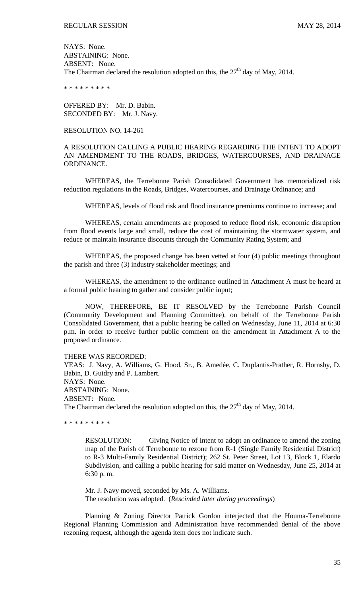NAYS: None. ABSTAINING: None. ABSENT: None. The Chairman declared the resolution adopted on this, the  $27<sup>th</sup>$  day of May, 2014.

\* \* \* \* \* \* \* \* \*

OFFERED BY: Mr. D. Babin. SECONDED BY: Mr. J. Navy.

### RESOLUTION NO. 14-261

A RESOLUTION CALLING A PUBLIC HEARING REGARDING THE INTENT TO ADOPT AN AMENDMENT TO THE ROADS, BRIDGES, WATERCOURSES, AND DRAINAGE ORDINANCE.

WHEREAS, the Terrebonne Parish Consolidated Government has memorialized risk reduction regulations in the Roads, Bridges, Watercourses, and Drainage Ordinance; and

WHEREAS, levels of flood risk and flood insurance premiums continue to increase; and

WHEREAS, certain amendments are proposed to reduce flood risk, economic disruption from flood events large and small, reduce the cost of maintaining the stormwater system, and reduce or maintain insurance discounts through the Community Rating System; and

WHEREAS, the proposed change has been vetted at four (4) public meetings throughout the parish and three (3) industry stakeholder meetings; and

WHEREAS, the amendment to the ordinance outlined in Attachment A must be heard at a formal public hearing to gather and consider public input;

NOW, THEREFORE, BE IT RESOLVED by the Terrebonne Parish Council (Community Development and Planning Committee), on behalf of the Terrebonne Parish Consolidated Government, that a public hearing be called on Wednesday, June 11, 2014 at 6:30 p.m. in order to receive further public comment on the amendment in Attachment A to the proposed ordinance.

### THERE WAS RECORDED:

YEAS: J. Navy, A. Williams, G. Hood, Sr., B. Amedée, C. Duplantis-Prather, R. Hornsby, D. Babin, D. Guidry and P. Lambert. NAYS: None. ABSTAINING: None. ABSENT: None. The Chairman declared the resolution adopted on this, the  $27<sup>th</sup>$  day of May, 2014.

\* \* \* \* \* \* \* \* \*

RESOLUTION: Giving Notice of Intent to adopt an ordinance to amend the zoning map of the Parish of Terrebonne to rezone from R-1 (Single Family Residential District) to R-3 Multi-Family Residential District); 262 St. Peter Street, Lot 13, Block 1, Elardo Subdivision, and calling a public hearing for said matter on Wednesday, June 25, 2014 at 6:30 p. m.

Mr. J. Navy moved, seconded by Ms. A. Williams. The resolution was adopted. (*Rescinded later during proceedings*)

Planning & Zoning Director Patrick Gordon interjected that the Houma-Terrebonne Regional Planning Commission and Administration have recommended denial of the above rezoning request, although the agenda item does not indicate such.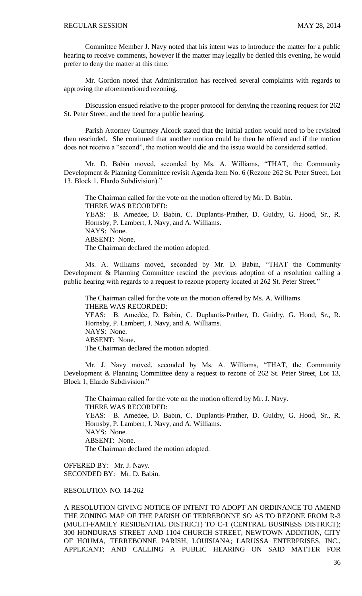Committee Member J. Navy noted that his intent was to introduce the matter for a public hearing to receive comments, however if the matter may legally be denied this evening, he would prefer to deny the matter at this time.

Mr. Gordon noted that Administration has received several complaints with regards to approving the aforementioned rezoning.

Discussion ensued relative to the proper protocol for denying the rezoning request for 262 St. Peter Street, and the need for a public hearing.

Parish Attorney Courtney Alcock stated that the initial action would need to be revisited then rescinded. She continued that another motion could be then be offered and if the motion does not receive a "second", the motion would die and the issue would be considered settled.

Mr. D. Babin moved, seconded by Ms. A. Williams, "THAT, the Community Development & Planning Committee revisit Agenda Item No. 6 (Rezone 262 St. Peter Street, Lot 13, Block 1, Elardo Subdivision)."

The Chairman called for the vote on the motion offered by Mr. D. Babin. THERE WAS RECORDED: YEAS: B. Amedẻe, D. Babin, C. Duplantis-Prather, D. Guidry, G. Hood, Sr., R. Hornsby, P. Lambert, J. Navy, and A. Williams. NAYS: None. ABSENT: None. The Chairman declared the motion adopted.

Ms. A. Williams moved, seconded by Mr. D. Babin, "THAT the Community Development & Planning Committee rescind the previous adoption of a resolution calling a public hearing with regards to a request to rezone property located at 262 St. Peter Street."

The Chairman called for the vote on the motion offered by Ms. A. Williams. THERE WAS RECORDED: YEAS: B. Amedẻe, D. Babin, C. Duplantis-Prather, D. Guidry, G. Hood, Sr., R. Hornsby, P. Lambert, J. Navy, and A. Williams. NAYS: None. ABSENT: None. The Chairman declared the motion adopted.

Mr. J. Navy moved, seconded by Ms. A. Williams, "THAT, the Community Development & Planning Committee deny a request to rezone of 262 St. Peter Street, Lot 13, Block 1, Elardo Subdivision."

The Chairman called for the vote on the motion offered by Mr. J. Navy. THERE WAS RECORDED: YEAS: B. Amedẻe, D. Babin, C. Duplantis-Prather, D. Guidry, G. Hood, Sr., R. Hornsby, P. Lambert, J. Navy, and A. Williams. NAYS: None. ABSENT: None. The Chairman declared the motion adopted.

OFFERED BY: Mr. J. Navy. SECONDED BY: Mr. D. Babin.

## RESOLUTION NO. 14-262

A RESOLUTION GIVING NOTICE OF INTENT TO ADOPT AN ORDINANCE TO AMEND THE ZONING MAP OF THE PARISH OF TERREBONNE SO AS TO REZONE FROM R-3 (MULTI-FAMILY RESIDENTIAL DISTRICT) TO C-1 (CENTRAL BUSINESS DISTRICT); 300 HONDURAS STREET AND 1104 CHURCH STREET, NEWTOWN ADDITION, CITY OF HOUMA, TERREBONNE PARISH, LOUISIANA; LARUSSA ENTERPRISES, INC., APPLICANT; AND CALLING A PUBLIC HEARING ON SAID MATTER FOR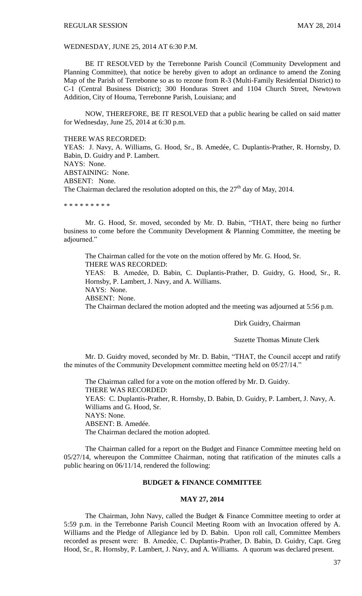WEDNESDAY, JUNE 25, 2014 AT 6:30 P.M.

BE IT RESOLVED by the Terrebonne Parish Council (Community Development and Planning Committee), that notice be hereby given to adopt an ordinance to amend the Zoning Map of the Parish of Terrebonne so as to rezone from R-3 (Multi-Family Residential District) to C-1 (Central Business District); 300 Honduras Street and 1104 Church Street, Newtown Addition, City of Houma, Terrebonne Parish, Louisiana; and

NOW, THEREFORE, BE IT RESOLVED that a public hearing be called on said matter for Wednesday, June 25, 2014 at 6:30 p.m.

THERE WAS RECORDED:

YEAS: J. Navy, A. Williams, G. Hood, Sr., B. Amedée, C. Duplantis-Prather, R. Hornsby, D. Babin, D. Guidry and P. Lambert. NAYS: None. ABSTAINING: None. ABSENT: None. The Chairman declared the resolution adopted on this, the  $27<sup>th</sup>$  day of May, 2014.

\* \* \* \* \* \* \* \* \*

Mr. G. Hood, Sr. moved, seconded by Mr. D. Babin, "THAT, there being no further business to come before the Community Development & Planning Committee, the meeting be adjourned."

The Chairman called for the vote on the motion offered by Mr. G. Hood, Sr. THERE WAS RECORDED: YEAS: B. Amedée, D. Babin, C. Duplantis-Prather, D. Guidry, G. Hood, Sr., R. Hornsby, P. Lambert, J. Navy, and A. Williams. NAYS: None. ABSENT: None. The Chairman declared the motion adopted and the meeting was adjourned at 5:56 p.m.

Dirk Guidry, Chairman

Suzette Thomas Minute Clerk

Mr. D. Guidry moved, seconded by Mr. D. Babin, "THAT, the Council accept and ratify the minutes of the Community Development committee meeting held on 05/27/14."

The Chairman called for a vote on the motion offered by Mr. D. Guidry. THERE WAS RECORDED: YEAS: C. Duplantis-Prather, R. Hornsby, D. Babin, D. Guidry, P. Lambert, J. Navy, A. Williams and G. Hood, Sr. NAYS: None. ABSENT: B. Amedée. The Chairman declared the motion adopted.

The Chairman called for a report on the Budget and Finance Committee meeting held on 05/27/14, whereupon the Committee Chairman, noting that ratification of the minutes calls a public hearing on 06/11/14, rendered the following:

## **BUDGET & FINANCE COMMITTEE**

#### **MAY 27, 2014**

The Chairman, John Navy, called the Budget & Finance Committee meeting to order at 5:59 p.m. in the Terrebonne Parish Council Meeting Room with an Invocation offered by A. Williams and the Pledge of Allegiance led by D. Babin. Upon roll call, Committee Members recorded as present were: B. Amedẻe, C. Duplantis-Prather, D. Babin, D. Guidry, Capt. Greg Hood, Sr., R. Hornsby, P. Lambert, J. Navy, and A. Williams. A quorum was declared present.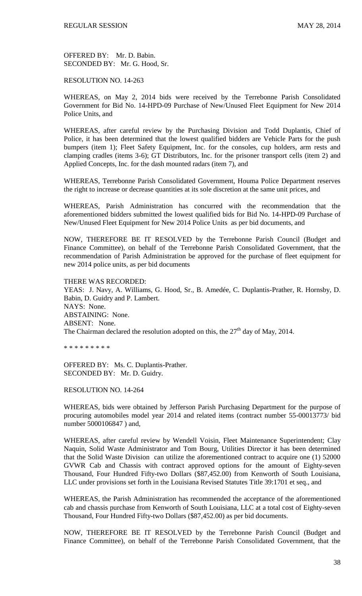OFFERED BY: Mr. D. Babin. SECONDED BY: Mr. G. Hood, Sr.

RESOLUTION NO. 14-263

WHEREAS, on May 2, 2014 bids were received by the Terrebonne Parish Consolidated Government for Bid No. 14-HPD-09 Purchase of New/Unused Fleet Equipment for New 2014 Police Units, and

WHEREAS, after careful review by the Purchasing Division and Todd Duplantis, Chief of Police, it has been determined that the lowest qualified bidders are Vehicle Parts for the push bumpers (item 1); Fleet Safety Equipment, Inc. for the consoles, cup holders, arm rests and clamping cradles (items 3-6); GT Distributors, Inc. for the prisoner transport cells (item 2) and Applied Concepts, Inc. for the dash mounted radars (item 7), and

WHEREAS, Terrebonne Parish Consolidated Government, Houma Police Department reserves the right to increase or decrease quantities at its sole discretion at the same unit prices, and

WHEREAS, Parish Administration has concurred with the recommendation that the aforementioned bidders submitted the lowest qualified bids for Bid No. 14-HPD-09 Purchase of New/Unused Fleet Equipment for New 2014 Police Units as per bid documents, and

NOW, THEREFORE BE IT RESOLVED by the Terrebonne Parish Council (Budget and Finance Committee), on behalf of the Terrebonne Parish Consolidated Government, that the recommendation of Parish Administration be approved for the purchase of fleet equipment for new 2014 police units, as per bid documents

THERE WAS RECORDED:

YEAS: J. Navy, A. Williams, G. Hood, Sr., B. Amedée, C. Duplantis-Prather, R. Hornsby, D. Babin, D. Guidry and P. Lambert. NAYS: None. ABSTAINING: None. ABSENT: None. The Chairman declared the resolution adopted on this, the  $27<sup>th</sup>$  day of May, 2014.

\* \* \* \* \* \* \* \* \*

OFFERED BY: Ms. C. Duplantis-Prather. SECONDED BY: Mr. D. Guidry.

RESOLUTION NO. 14-264

WHEREAS, bids were obtained by Jefferson Parish Purchasing Department for the purpose of procuring automobiles model year 2014 and related items (contract number 55-00013773/ bid number 5000106847 ) and,

WHEREAS, after careful review by Wendell Voisin, Fleet Maintenance Superintendent; Clay Naquin, Solid Waste Administrator and Tom Bourg, Utilities Director it has been determined that the Solid Waste Division can utilize the aforementioned contract to acquire one (1) 52000 GVWR Cab and Chassis with contract approved options for the amount of Eighty-seven Thousand, Four Hundred Fifty-two Dollars (\$87,452.00) from Kenworth of South Louisiana, LLC under provisions set forth in the Louisiana Revised Statutes Title 39:1701 et seq., and

WHEREAS, the Parish Administration has recommended the acceptance of the aforementioned cab and chassis purchase from Kenworth of South Louisiana, LLC at a total cost of Eighty-seven Thousand, Four Hundred Fifty-two Dollars (\$87,452.00) as per bid documents.

NOW, THEREFORE BE IT RESOLVED by the Terrebonne Parish Council (Budget and Finance Committee), on behalf of the Terrebonne Parish Consolidated Government, that the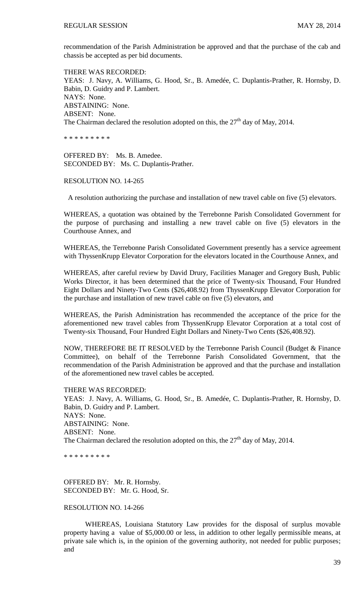recommendation of the Parish Administration be approved and that the purchase of the cab and chassis be accepted as per bid documents.

THERE WAS RECORDED: YEAS: J. Navy, A. Williams, G. Hood, Sr., B. Amedée, C. Duplantis-Prather, R. Hornsby, D. Babin, D. Guidry and P. Lambert. NAYS: None. ABSTAINING: None. ABSENT: None. The Chairman declared the resolution adopted on this, the  $27<sup>th</sup>$  day of May, 2014.

\* \* \* \* \* \* \* \* \*

OFFERED BY: Ms. B. Amedee. SECONDED BY: Ms. C. Duplantis-Prather.

#### RESOLUTION NO. 14-265

A resolution authorizing the purchase and installation of new travel cable on five (5) elevators.

WHEREAS, a quotation was obtained by the Terrebonne Parish Consolidated Government for the purpose of purchasing and installing a new travel cable on five (5) elevators in the Courthouse Annex, and

WHEREAS, the Terrebonne Parish Consolidated Government presently has a service agreement with ThyssenKrupp Elevator Corporation for the elevators located in the Courthouse Annex, and

WHEREAS, after careful review by David Drury, Facilities Manager and Gregory Bush, Public Works Director, it has been determined that the price of Twenty-six Thousand, Four Hundred Eight Dollars and Ninety-Two Cents (\$26,408.92) from ThyssenKrupp Elevator Corporation for the purchase and installation of new travel cable on five (5) elevators, and

WHEREAS, the Parish Administration has recommended the acceptance of the price for the aforementioned new travel cables from ThyssenKrupp Elevator Corporation at a total cost of Twenty-six Thousand, Four Hundred Eight Dollars and Ninety-Two Cents (\$26,408.92).

NOW, THEREFORE BE IT RESOLVED by the Terrebonne Parish Council (Budget & Finance Committee), on behalf of the Terrebonne Parish Consolidated Government, that the recommendation of the Parish Administration be approved and that the purchase and installation of the aforementioned new travel cables be accepted.

THERE WAS RECORDED: YEAS: J. Navy, A. Williams, G. Hood, Sr., B. Amedée, C. Duplantis-Prather, R. Hornsby, D. Babin, D. Guidry and P. Lambert. NAYS: None. ABSTAINING: None. ABSENT: None. The Chairman declared the resolution adopted on this, the  $27<sup>th</sup>$  day of May, 2014.

\* \* \* \* \* \* \* \* \*

OFFERED BY: Mr. R. Hornsby. SECONDED BY: Mr. G. Hood, Sr.

# RESOLUTION NO. 14-266

WHEREAS, Louisiana Statutory Law provides for the disposal of surplus movable property having a value of \$5,000.00 or less, in addition to other legally permissible means, at private sale which is, in the opinion of the governing authority, not needed for public purposes; and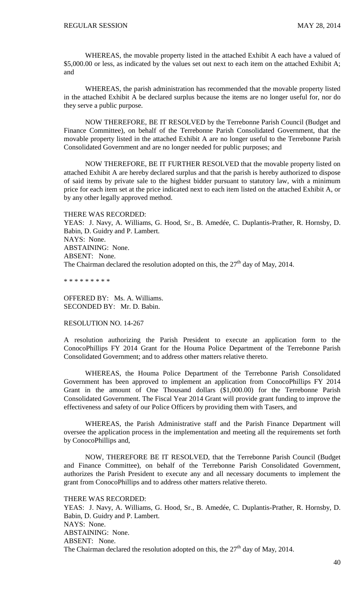WHEREAS, the movable property listed in the attached Exhibit A each have a valued of \$5,000.00 or less, as indicated by the values set out next to each item on the attached Exhibit A; and

WHEREAS, the parish administration has recommended that the movable property listed in the attached Exhibit A be declared surplus because the items are no longer useful for, nor do they serve a public purpose.

NOW THEREFORE, BE IT RESOLVED by the Terrebonne Parish Council (Budget and Finance Committee), on behalf of the Terrebonne Parish Consolidated Government, that the movable property listed in the attached Exhibit A are no longer useful to the Terrebonne Parish Consolidated Government and are no longer needed for public purposes; and

NOW THEREFORE, BE IT FURTHER RESOLVED that the movable property listed on attached Exhibit A are hereby declared surplus and that the parish is hereby authorized to dispose of said items by private sale to the highest bidder pursuant to statutory law, with a minimum price for each item set at the price indicated next to each item listed on the attached Exhibit A, or by any other legally approved method.

THERE WAS RECORDED:

YEAS: J. Navy, A. Williams, G. Hood, Sr., B. Amedée, C. Duplantis-Prather, R. Hornsby, D. Babin, D. Guidry and P. Lambert. NAYS: None. ABSTAINING: None. ABSENT: None. The Chairman declared the resolution adopted on this, the  $27<sup>th</sup>$  day of May, 2014.

\* \* \* \* \* \* \* \* \*

OFFERED BY: Ms. A. Williams. SECONDED BY: Mr. D. Babin.

RESOLUTION NO. 14-267

A resolution authorizing the Parish President to execute an application form to the ConocoPhillips FY 2014 Grant for the Houma Police Department of the Terrebonne Parish Consolidated Government; and to address other matters relative thereto.

WHEREAS, the Houma Police Department of the Terrebonne Parish Consolidated Government has been approved to implement an application from ConocoPhillips FY 2014 Grant in the amount of One Thousand dollars (\$1,000.00) for the Terrebonne Parish Consolidated Government. The Fiscal Year 2014 Grant will provide grant funding to improve the effectiveness and safety of our Police Officers by providing them with Tasers, and

WHEREAS, the Parish Administrative staff and the Parish Finance Department will oversee the application process in the implementation and meeting all the requirements set forth by ConocoPhillips and,

NOW, THEREFORE BE IT RESOLVED, that the Terrebonne Parish Council (Budget and Finance Committee), on behalf of the Terrebonne Parish Consolidated Government, authorizes the Parish President to execute any and all necessary documents to implement the grant from ConocoPhillips and to address other matters relative thereto.

THERE WAS RECORDED: YEAS: J. Navy, A. Williams, G. Hood, Sr., B. Amedée, C. Duplantis-Prather, R. Hornsby, D. Babin, D. Guidry and P. Lambert. NAYS: None. ABSTAINING: None. ABSENT: None. The Chairman declared the resolution adopted on this, the  $27<sup>th</sup>$  day of May, 2014.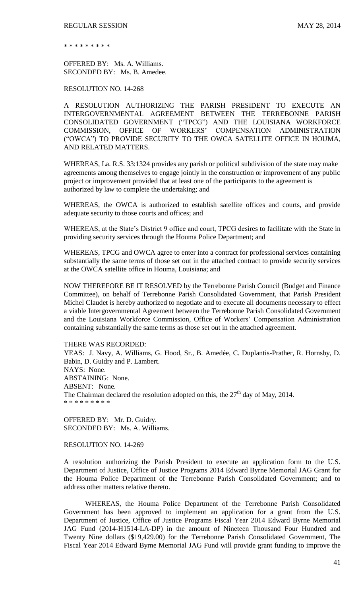\* \* \* \* \* \* \* \* \*

OFFERED BY: Ms. A. Williams. SECONDED BY: Ms. B. Amedee.

RESOLUTION NO. 14-268

A RESOLUTION AUTHORIZING THE PARISH PRESIDENT TO EXECUTE AN INTERGOVERNMENTAL AGREEMENT BETWEEN THE TERREBONNE PARISH CONSOLIDATED GOVERNMENT ("TPCG") AND THE LOUISIANA WORKFORCE COMMISSION, OFFICE OF WORKERS' COMPENSATION ADMINISTRATION ("OWCA") TO PROVIDE SECURITY TO THE OWCA SATELLITE OFFICE IN HOUMA, AND RELATED MATTERS.

WHEREAS, La. R.S. 33:1324 provides any parish or political subdivision of the state may make agreements among themselves to engage jointly in the construction or improvement of any public project or improvement provided that at least one of the participants to the agreement is authorized by law to complete the undertaking; and

WHEREAS, the OWCA is authorized to establish satellite offices and courts, and provide adequate security to those courts and offices; and

WHEREAS, at the State's District 9 office and court, TPCG desires to facilitate with the State in providing security services through the Houma Police Department; and

WHEREAS, TPCG and OWCA agree to enter into a contract for professional services containing substantially the same terms of those set out in the attached contract to provide security services at the OWCA satellite office in Houma, Louisiana; and

NOW THEREFORE BE IT RESOLVED by the Terrebonne Parish Council (Budget and Finance Committee), on behalf of Terrebonne Parish Consolidated Government, that Parish President Michel Claudet is hereby authorized to negotiate and to execute all documents necessary to effect a viable Intergovernmental Agreement between the Terrebonne Parish Consolidated Government and the Louisiana Workforce Commission, Office of Workers' Compensation Administration containing substantially the same terms as those set out in the attached agreement.

THERE WAS RECORDED:

YEAS: J. Navy, A. Williams, G. Hood, Sr., B. Amedée, C. Duplantis-Prather, R. Hornsby, D. Babin, D. Guidry and P. Lambert. NAYS: None. ABSTAINING: None. ABSENT: None. The Chairman declared the resolution adopted on this, the  $27<sup>th</sup>$  day of May, 2014. \* \* \* \* \* \* \* \* \*

OFFERED BY: Mr. D. Guidry. SECONDED BY: Ms. A. Williams.

RESOLUTION NO. 14-269

A resolution authorizing the Parish President to execute an application form to the U.S. Department of Justice, Office of Justice Programs 2014 Edward Byrne Memorial JAG Grant for the Houma Police Department of the Terrebonne Parish Consolidated Government; and to address other matters relative thereto.

WHEREAS, the Houma Police Department of the Terrebonne Parish Consolidated Government has been approved to implement an application for a grant from the U.S. Department of Justice, Office of Justice Programs Fiscal Year 2014 Edward Byrne Memorial JAG Fund (2014-H1514-LA-DP) in the amount of Nineteen Thousand Four Hundred and Twenty Nine dollars (\$19,429.00) for the Terrebonne Parish Consolidated Government, The Fiscal Year 2014 Edward Byrne Memorial JAG Fund will provide grant funding to improve the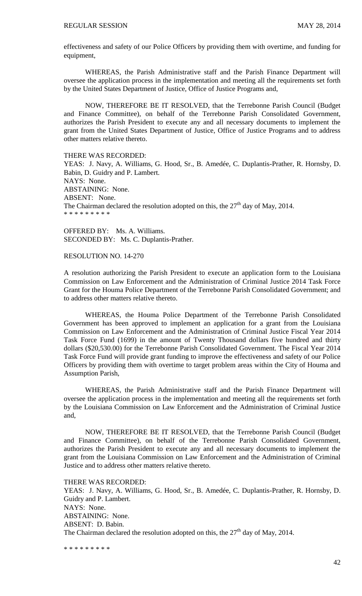effectiveness and safety of our Police Officers by providing them with overtime, and funding for equipment,

WHEREAS, the Parish Administrative staff and the Parish Finance Department will oversee the application process in the implementation and meeting all the requirements set forth by the United States Department of Justice, Office of Justice Programs and,

NOW, THEREFORE BE IT RESOLVED, that the Terrebonne Parish Council (Budget and Finance Committee), on behalf of the Terrebonne Parish Consolidated Government, authorizes the Parish President to execute any and all necessary documents to implement the grant from the United States Department of Justice, Office of Justice Programs and to address other matters relative thereto.

THERE WAS RECORDED: YEAS: J. Navy, A. Williams, G. Hood, Sr., B. Amedée, C. Duplantis-Prather, R. Hornsby, D. Babin, D. Guidry and P. Lambert. NAYS: None. ABSTAINING: None. ABSENT: None. The Chairman declared the resolution adopted on this, the  $27<sup>th</sup>$  day of May, 2014.

OFFERED BY: Ms. A. Williams. SECONDED BY: Ms. C. Duplantis-Prather.

RESOLUTION NO. 14-270

\* \* \* \* \* \* \* \* \*

A resolution authorizing the Parish President to execute an application form to the Louisiana Commission on Law Enforcement and the Administration of Criminal Justice 2014 Task Force Grant for the Houma Police Department of the Terrebonne Parish Consolidated Government; and to address other matters relative thereto.

WHEREAS, the Houma Police Department of the Terrebonne Parish Consolidated Government has been approved to implement an application for a grant from the Louisiana Commission on Law Enforcement and the Administration of Criminal Justice Fiscal Year 2014 Task Force Fund (1699) in the amount of Twenty Thousand dollars five hundred and thirty dollars (\$20,530.00) for the Terrebonne Parish Consolidated Government. The Fiscal Year 2014 Task Force Fund will provide grant funding to improve the effectiveness and safety of our Police Officers by providing them with overtime to target problem areas within the City of Houma and Assumption Parish,

WHEREAS, the Parish Administrative staff and the Parish Finance Department will oversee the application process in the implementation and meeting all the requirements set forth by the Louisiana Commission on Law Enforcement and the Administration of Criminal Justice and,

NOW, THEREFORE BE IT RESOLVED, that the Terrebonne Parish Council (Budget and Finance Committee), on behalf of the Terrebonne Parish Consolidated Government, authorizes the Parish President to execute any and all necessary documents to implement the grant from the Louisiana Commission on Law Enforcement and the Administration of Criminal Justice and to address other matters relative thereto.

THERE WAS RECORDED: YEAS: J. Navy, A. Williams, G. Hood, Sr., B. Amedée, C. Duplantis-Prather, R. Hornsby, D. Guidry and P. Lambert. NAYS: None. ABSTAINING: None. ABSENT: D. Babin. The Chairman declared the resolution adopted on this, the  $27<sup>th</sup>$  day of May, 2014.

\* \* \* \* \* \* \* \* \*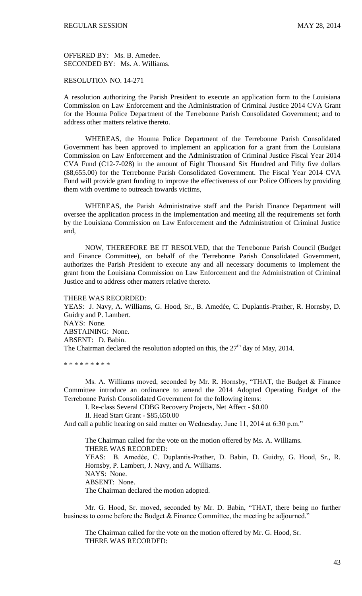OFFERED BY: Ms. B. Amedee. SECONDED BY: Ms. A. Williams.

# RESOLUTION NO. 14-271

A resolution authorizing the Parish President to execute an application form to the Louisiana Commission on Law Enforcement and the Administration of Criminal Justice 2014 CVA Grant for the Houma Police Department of the Terrebonne Parish Consolidated Government; and to address other matters relative thereto.

WHEREAS, the Houma Police Department of the Terrebonne Parish Consolidated Government has been approved to implement an application for a grant from the Louisiana Commission on Law Enforcement and the Administration of Criminal Justice Fiscal Year 2014 CVA Fund (C12-7-028) in the amount of Eight Thousand Six Hundred and Fifty five dollars (\$8,655.00) for the Terrebonne Parish Consolidated Government. The Fiscal Year 2014 CVA Fund will provide grant funding to improve the effectiveness of our Police Officers by providing them with overtime to outreach towards victims,

WHEREAS, the Parish Administrative staff and the Parish Finance Department will oversee the application process in the implementation and meeting all the requirements set forth by the Louisiana Commission on Law Enforcement and the Administration of Criminal Justice and,

NOW, THEREFORE BE IT RESOLVED, that the Terrebonne Parish Council (Budget and Finance Committee), on behalf of the Terrebonne Parish Consolidated Government, authorizes the Parish President to execute any and all necessary documents to implement the grant from the Louisiana Commission on Law Enforcement and the Administration of Criminal Justice and to address other matters relative thereto.

THERE WAS RECORDED: YEAS: J. Navy, A. Williams, G. Hood, Sr., B. Amedée, C. Duplantis-Prather, R. Hornsby, D. Guidry and P. Lambert. NAYS: None. ABSTAINING: None. ABSENT: D. Babin. The Chairman declared the resolution adopted on this, the  $27<sup>th</sup>$  day of May, 2014.

\* \* \* \* \* \* \* \* \*

Ms. A. Williams moved, seconded by Mr. R. Hornsby, "THAT, the Budget & Finance Committee introduce an ordinance to amend the 2014 Adopted Operating Budget of the Terrebonne Parish Consolidated Government for the following items:

I. Re-class Several CDBG Recovery Projects, Net Affect - \$0.00

II. Head Start Grant - \$85,650.00

And call a public hearing on said matter on Wednesday, June 11, 2014 at 6:30 p.m."

The Chairman called for the vote on the motion offered by Ms. A. Williams. THERE WAS RECORDED: YEAS: B. Amedẻe, C. Duplantis-Prather, D. Babin, D. Guidry, G. Hood, Sr., R. Hornsby, P. Lambert, J. Navy, and A. Williams. NAYS: None. ABSENT: None. The Chairman declared the motion adopted.

Mr. G. Hood, Sr. moved, seconded by Mr. D. Babin, "THAT, there being no further business to come before the Budget & Finance Committee, the meeting be adjourned."

The Chairman called for the vote on the motion offered by Mr. G. Hood, Sr. THERE WAS RECORDED: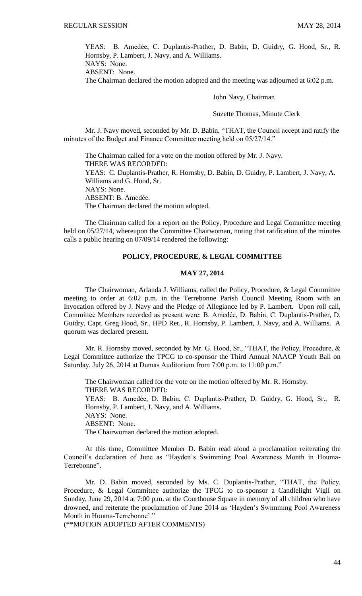YEAS: B. Amedẻe, C. Duplantis-Prather, D. Babin, D. Guidry, G. Hood, Sr., R. Hornsby, P. Lambert, J. Navy, and A. Williams. NAYS: None.

ABSENT: None.

The Chairman declared the motion adopted and the meeting was adjourned at 6:02 p.m.

John Navy, Chairman

Suzette Thomas, Minute Clerk

Mr. J. Navy moved, seconded by Mr. D. Babin, "THAT, the Council accept and ratify the minutes of the Budget and Finance Committee meeting held on 05/27/14."

The Chairman called for a vote on the motion offered by Mr. J. Navy. THERE WAS RECORDED: YEAS: C. Duplantis-Prather, R. Hornsby, D. Babin, D. Guidry, P. Lambert, J. Navy, A. Williams and G. Hood, Sr. NAYS: None. ABSENT: B. Amedée. The Chairman declared the motion adopted.

The Chairman called for a report on the Policy, Procedure and Legal Committee meeting held on 05/27/14, whereupon the Committee Chairwoman, noting that ratification of the minutes calls a public hearing on 07/09/14 rendered the following:

### **POLICY, PROCEDURE, & LEGAL COMMITTEE**

## **MAY 27, 2014**

The Chairwoman, Arlanda J. Williams, called the Policy, Procedure, & Legal Committee meeting to order at 6:02 p.m. in the Terrebonne Parish Council Meeting Room with an Invocation offered by J. Navy and the Pledge of Allegiance led by P. Lambert. Upon roll call, Committee Members recorded as present were: B. Amedẻe, D. Babin, C. Duplantis-Prather, D. Guidry, Capt. Greg Hood, Sr., HPD Ret., R. Hornsby, P. Lambert, J. Navy, and A. Williams. A quorum was declared present.

Mr. R. Hornsby moved, seconded by Mr. G. Hood, Sr., "THAT, the Policy, Procedure, & Legal Committee authorize the TPCG to co-sponsor the Third Annual NAACP Youth Ball on Saturday, July 26, 2014 at Dumas Auditorium from 7:00 p.m. to 11:00 p.m."

The Chairwoman called for the vote on the motion offered by Mr. R. Hornsby. THERE WAS RECORDED: YEAS: B. Amedẻe, D. Babin, C. Duplantis-Prather, D. Guidry, G. Hood, Sr., R. Hornsby, P. Lambert, J. Navy, and A. Williams. NAYS: None. ABSENT: None. The Chairwoman declared the motion adopted.

At this time, Committee Member D. Babin read aloud a proclamation reiterating the Council's declaration of June as "Hayden's Swimming Pool Awareness Month in Houma-Terrebonne".

Mr. D. Babin moved, seconded by Ms. C. Duplantis-Prather, "THAT, the Policy, Procedure, & Legal Committee authorize the TPCG to co-sponsor a Candlelight Vigil on Sunday, June 29, 2014 at 7:00 p.m. at the Courthouse Square in memory of all children who have drowned, and reiterate the proclamation of June 2014 as 'Hayden's Swimming Pool Awareness Month in Houma-Terrebonne'."

(\*\*MOTION ADOPTED AFTER COMMENTS)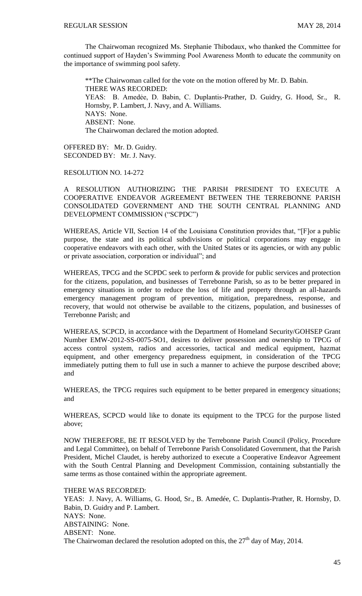The Chairwoman recognized Ms. Stephanie Thibodaux, who thanked the Committee for continued support of Hayden's Swimming Pool Awareness Month to educate the community on the importance of swimming pool safety.

\*\*The Chairwoman called for the vote on the motion offered by Mr. D. Babin. THERE WAS RECORDED: YEAS: B. Amedẻe, D. Babin, C. Duplantis-Prather, D. Guidry, G. Hood, Sr., R. Hornsby, P. Lambert, J. Navy, and A. Williams. NAYS: None. ABSENT: None. The Chairwoman declared the motion adopted.

OFFERED BY: Mr. D. Guidry. SECONDED BY: Mr. J. Navy.

RESOLUTION NO. 14-272

A RESOLUTION AUTHORIZING THE PARISH PRESIDENT TO EXECUTE A COOPERATIVE ENDEAVOR AGREEMENT BETWEEN THE TERREBONNE PARISH CONSOLIDATED GOVERNMENT AND THE SOUTH CENTRAL PLANNING AND DEVELOPMENT COMMISSION ("SCPDC")

WHEREAS, Article VII, Section 14 of the Louisiana Constitution provides that, "[F]or a public purpose, the state and its political subdivisions or political corporations may engage in cooperative endeavors with each other, with the United States or its agencies, or with any public or private association, corporation or individual"; and

WHEREAS, TPCG and the SCPDC seek to perform  $\&$  provide for public services and protection for the citizens, population, and businesses of Terrebonne Parish, so as to be better prepared in emergency situations in order to reduce the loss of life and property through an all-hazards emergency management program of prevention, mitigation, preparedness, response, and recovery, that would not otherwise be available to the citizens, population, and businesses of Terrebonne Parish; and

WHEREAS, SCPCD, in accordance with the Department of Homeland Security/GOHSEP Grant Number EMW-2012-SS-0075-SO1, desires to deliver possession and ownership to TPCG of access control system, radios and accessories, tactical and medical equipment, hazmat equipment, and other emergency preparedness equipment, in consideration of the TPCG immediately putting them to full use in such a manner to achieve the purpose described above; and

WHEREAS, the TPCG requires such equipment to be better prepared in emergency situations; and

WHEREAS, SCPCD would like to donate its equipment to the TPCG for the purpose listed above;

NOW THEREFORE, BE IT RESOLVED by the Terrebonne Parish Council (Policy, Procedure and Legal Committee), on behalf of Terrebonne Parish Consolidated Government, that the Parish President, Michel Claudet, is hereby authorized to execute a Cooperative Endeavor Agreement with the South Central Planning and Development Commission, containing substantially the same terms as those contained within the appropriate agreement.

THERE WAS RECORDED: YEAS: J. Navy, A. Williams, G. Hood, Sr., B. Amedée, C. Duplantis-Prather, R. Hornsby, D. Babin, D. Guidry and P. Lambert. NAYS: None. ABSTAINING: None. ABSENT: None. The Chairwoman declared the resolution adopted on this, the  $27<sup>th</sup>$  day of May, 2014.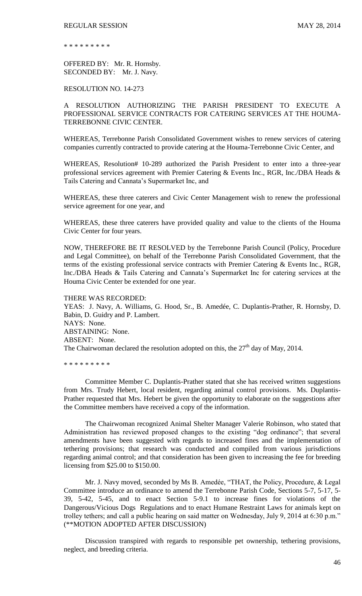\* \* \* \* \* \* \* \* \*

OFFERED BY: Mr. R. Hornsby. SECONDED BY: Mr. J. Navy.

RESOLUTION NO. 14-273

A RESOLUTION AUTHORIZING THE PARISH PRESIDENT TO EXECUTE A PROFESSIONAL SERVICE CONTRACTS FOR CATERING SERVICES AT THE HOUMA-TERREBONNE CIVIC CENTER.

WHEREAS, Terrebonne Parish Consolidated Government wishes to renew services of catering companies currently contracted to provide catering at the Houma-Terrebonne Civic Center, and

WHEREAS, Resolution# 10-289 authorized the Parish President to enter into a three-year professional services agreement with Premier Catering & Events Inc., RGR, Inc./DBA Heads & Tails Catering and Cannata's Supermarket Inc, and

WHEREAS, these three caterers and Civic Center Management wish to renew the professional service agreement for one year, and

WHEREAS, these three caterers have provided quality and value to the clients of the Houma Civic Center for four years.

NOW, THEREFORE BE IT RESOLVED by the Terrebonne Parish Council (Policy, Procedure and Legal Committee), on behalf of the Terrebonne Parish Consolidated Government, that the terms of the existing professional service contracts with Premier Catering & Events Inc., RGR, Inc./DBA Heads & Tails Catering and Cannata's Supermarket Inc for catering services at the Houma Civic Center be extended for one year.

THERE WAS RECORDED: YEAS: J. Navy, A. Williams, G. Hood, Sr., B. Amedée, C. Duplantis-Prather, R. Hornsby, D. Babin, D. Guidry and P. Lambert. NAYS: None. ABSTAINING: None. ABSENT: None. The Chairwoman declared the resolution adopted on this, the  $27<sup>th</sup>$  day of May, 2014.

\* \* \* \* \* \* \* \* \*

Committee Member C. Duplantis-Prather stated that she has received written suggestions from Mrs. Trudy Hebert, local resident, regarding animal control provisions. Ms. Duplantis-Prather requested that Mrs. Hebert be given the opportunity to elaborate on the suggestions after the Committee members have received a copy of the information.

The Chairwoman recognized Animal Shelter Manager Valerie Robinson, who stated that Administration has reviewed proposed changes to the existing "dog ordinance"; that several amendments have been suggested with regards to increased fines and the implementation of tethering provisions; that research was conducted and compiled from various jurisdictions regarding animal control; and that consideration has been given to increasing the fee for breeding licensing from \$25.00 to \$150.00.

Mr. J. Navy moved, seconded by Ms B. Amedée, "THAT, the Policy, Procedure, & Legal Committee introduce an ordinance to amend the Terrebonne Parish Code, Sections 5-7, 5-17, 5- 39, 5-42, 5-45, and to enact Section 5-9.1 to increase fines for violations of the Dangerous/Vicious Dogs Regulations and to enact Humane Restraint Laws for animals kept on trolley tethers; and call a public hearing on said matter on Wednesday, July 9, 2014 at 6:30 p.m." (\*\*MOTION ADOPTED AFTER DISCUSSION)

Discussion transpired with regards to responsible pet ownership, tethering provisions, neglect, and breeding criteria.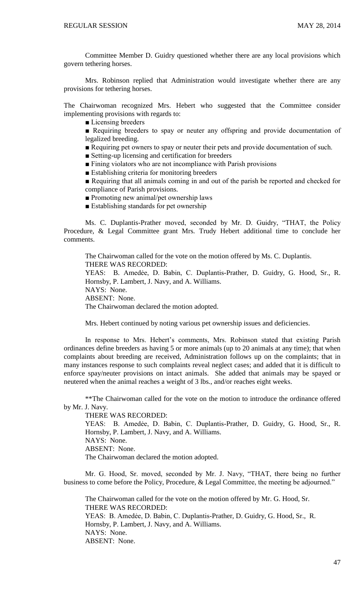Committee Member D. Guidry questioned whether there are any local provisions which govern tethering horses.

Mrs. Robinson replied that Administration would investigate whether there are any provisions for tethering horses.

The Chairwoman recognized Mrs. Hebert who suggested that the Committee consider implementing provisions with regards to:

■ Licensing breeders

■ Requiring breeders to spay or neuter any offspring and provide documentation of legalized breeding.

■ Requiring pet owners to spay or neuter their pets and provide documentation of such.

■ Setting-up licensing and certification for breeders

■ Fining violators who are not incompliance with Parish provisions

■ Establishing criteria for monitoring breeders

■ Requiring that all animals coming in and out of the parish be reported and checked for compliance of Parish provisions.

■ Promoting new animal/pet ownership laws

■ Establishing standards for pet ownership

Ms. C. Duplantis-Prather moved, seconded by Mr. D. Guidry, "THAT, the Policy Procedure, & Legal Committee grant Mrs. Trudy Hebert additional time to conclude her comments.

The Chairwoman called for the vote on the motion offered by Ms. C. Duplantis. THERE WAS RECORDED: YEAS: B. Amedẻe, D. Babin, C. Duplantis-Prather, D. Guidry, G. Hood, Sr., R. Hornsby, P. Lambert, J. Navy, and A. Williams. NAYS: None. ABSENT: None. The Chairwoman declared the motion adopted.

Mrs. Hebert continued by noting various pet ownership issues and deficiencies.

In response to Mrs. Hebert's comments, Mrs. Robinson stated that existing Parish ordinances define breeders as having 5 or more animals (up to 20 animals at any time); that when complaints about breeding are received, Administration follows up on the complaints; that in many instances response to such complaints reveal neglect cases; and added that it is difficult to enforce spay/neuter provisions on intact animals. She added that animals may be spayed or neutered when the animal reaches a weight of 3 lbs., and/or reaches eight weeks.

\*\*The Chairwoman called for the vote on the motion to introduce the ordinance offered by Mr. J. Navy.

THERE WAS RECORDED:

YEAS: B. Amedẻe, D. Babin, C. Duplantis-Prather, D. Guidry, G. Hood, Sr., R. Hornsby, P. Lambert, J. Navy, and A. Williams. NAYS: None. ABSENT: None. The Chairwoman declared the motion adopted.

Mr. G. Hood, Sr. moved, seconded by Mr. J. Navy, "THAT, there being no further business to come before the Policy, Procedure, & Legal Committee, the meeting be adjourned."

The Chairwoman called for the vote on the motion offered by Mr. G. Hood, Sr. THERE WAS RECORDED: YEAS: B. Amedẻe, D. Babin, C. Duplantis-Prather, D. Guidry, G. Hood, Sr., R. Hornsby, P. Lambert, J. Navy, and A. Williams. NAYS: None. ABSENT: None.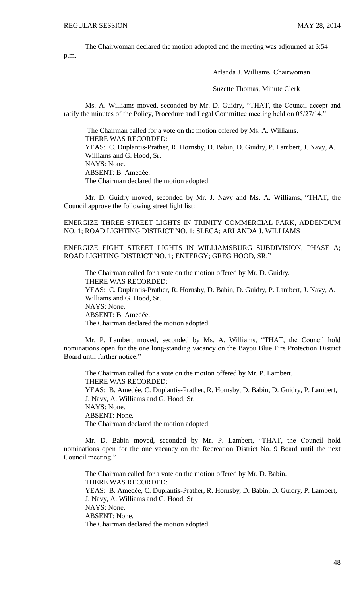The Chairwoman declared the motion adopted and the meeting was adjourned at 6:54 p.m.

Arlanda J. Williams, Chairwoman

Suzette Thomas, Minute Clerk

Ms. A. Williams moved, seconded by Mr. D. Guidry, "THAT, the Council accept and ratify the minutes of the Policy, Procedure and Legal Committee meeting held on 05/27/14."

The Chairman called for a vote on the motion offered by Ms. A. Williams. THERE WAS RECORDED: YEAS: C. Duplantis-Prather, R. Hornsby, D. Babin, D. Guidry, P. Lambert, J. Navy, A. Williams and G. Hood, Sr. NAYS: None. ABSENT: B. Amedée. The Chairman declared the motion adopted.

Mr. D. Guidry moved, seconded by Mr. J. Navy and Ms. A. Williams, "THAT, the Council approve the following street light list:

ENERGIZE THREE STREET LIGHTS IN TRINITY COMMERCIAL PARK, ADDENDUM NO. 1; ROAD LIGHTING DISTRICT NO. 1; SLECA; ARLANDA J. WILLIAMS

ENERGIZE EIGHT STREET LIGHTS IN WILLIAMSBURG SUBDIVISION, PHASE A; ROAD LIGHTING DISTRICT NO. 1; ENTERGY; GREG HOOD, SR."

The Chairman called for a vote on the motion offered by Mr. D. Guidry. THERE WAS RECORDED: YEAS: C. Duplantis-Prather, R. Hornsby, D. Babin, D. Guidry, P. Lambert, J. Navy, A. Williams and G. Hood, Sr. NAYS: None. ABSENT: B. Amedée. The Chairman declared the motion adopted.

Mr. P. Lambert moved, seconded by Ms. A. Williams, "THAT, the Council hold nominations open for the one long-standing vacancy on the Bayou Blue Fire Protection District Board until further notice."

The Chairman called for a vote on the motion offered by Mr. P. Lambert. THERE WAS RECORDED: YEAS: B. Amedée, C. Duplantis-Prather, R. Hornsby, D. Babin, D. Guidry, P. Lambert, J. Navy, A. Williams and G. Hood, Sr. NAYS: None. ABSENT: None. The Chairman declared the motion adopted.

Mr. D. Babin moved, seconded by Mr. P. Lambert, "THAT, the Council hold nominations open for the one vacancy on the Recreation District No. 9 Board until the next Council meeting."

The Chairman called for a vote on the motion offered by Mr. D. Babin. THERE WAS RECORDED: YEAS: B. Amedée, C. Duplantis-Prather, R. Hornsby, D. Babin, D. Guidry, P. Lambert, J. Navy, A. Williams and G. Hood, Sr. NAYS: None. ABSENT: None. The Chairman declared the motion adopted.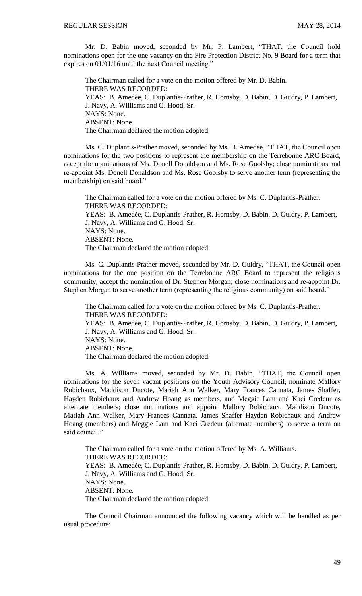Mr. D. Babin moved, seconded by Mr. P. Lambert, "THAT, the Council hold nominations open for the one vacancy on the Fire Protection District No. 9 Board for a term that expires on 01/01/16 until the next Council meeting."

The Chairman called for a vote on the motion offered by Mr. D. Babin. THERE WAS RECORDED: YEAS: B. Amedée, C. Duplantis-Prather, R. Hornsby, D. Babin, D. Guidry, P. Lambert, J. Navy, A. Williams and G. Hood, Sr. NAYS: None. ABSENT: None. The Chairman declared the motion adopted.

Ms. C. Duplantis-Prather moved, seconded by Ms. B. Amedée, "THAT, the Council open nominations for the two positions to represent the membership on the Terrebonne ARC Board, accept the nominations of Ms. Donell Donaldson and Ms. Rose Goolsby; close nominations and re-appoint Ms. Donell Donaldson and Ms. Rose Goolsby to serve another term (representing the membership) on said board."

The Chairman called for a vote on the motion offered by Ms. C. Duplantis-Prather. THERE WAS RECORDED: YEAS: B. Amedée, C. Duplantis-Prather, R. Hornsby, D. Babin, D. Guidry, P. Lambert, J. Navy, A. Williams and G. Hood, Sr. NAYS: None. ABSENT: None. The Chairman declared the motion adopted.

Ms. C. Duplantis-Prather moved, seconded by Mr. D. Guidry, "THAT, the Council open nominations for the one position on the Terrebonne ARC Board to represent the religious community, accept the nomination of Dr. Stephen Morgan; close nominations and re-appoint Dr. Stephen Morgan to serve another term (representing the religious community) on said board."

The Chairman called for a vote on the motion offered by Ms. C. Duplantis-Prather. THERE WAS RECORDED: YEAS: B. Amedée, C. Duplantis-Prather, R. Hornsby, D. Babin, D. Guidry, P. Lambert, J. Navy, A. Williams and G. Hood, Sr. NAYS: None. ABSENT: None. The Chairman declared the motion adopted.

Ms. A. Williams moved, seconded by Mr. D. Babin, "THAT, the Council open nominations for the seven vacant positions on the Youth Advisory Council, nominate Mallory Robichaux, Maddison Ducote, Mariah Ann Walker, Mary Frances Cannata, James Shaffer, Hayden Robichaux and Andrew Hoang as members, and Meggie Lam and Kaci Credeur as alternate members; close nominations and appoint Mallory Robichaux, Maddison Ducote, Mariah Ann Walker, Mary Frances Cannata, James Shaffer Hayden Robichaux and Andrew Hoang (members) and Meggie Lam and Kaci Credeur (alternate members) to serve a term on said council."

The Chairman called for a vote on the motion offered by Ms. A. Williams. THERE WAS RECORDED: YEAS: B. Amedée, C. Duplantis-Prather, R. Hornsby, D. Babin, D. Guidry, P. Lambert, J. Navy, A. Williams and G. Hood, Sr. NAYS: None. ABSENT: None. The Chairman declared the motion adopted.

The Council Chairman announced the following vacancy which will be handled as per usual procedure: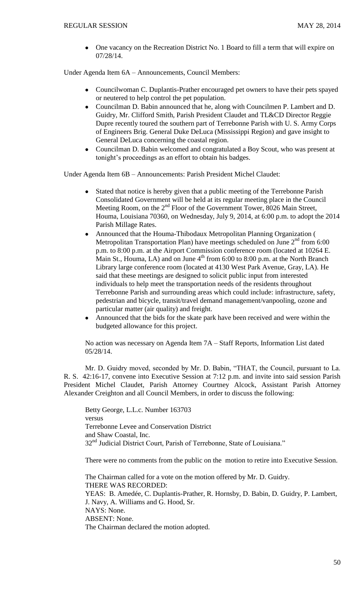One vacancy on the Recreation District No. 1 Board to fill a term that will expire on 07/28/14.

Under Agenda Item 6A – Announcements, Council Members:

- Councilwoman C. Duplantis-Prather encouraged pet owners to have their pets spayed or neutered to help control the pet population.
- Councilman D. Babin announced that he, along with Councilmen P. Lambert and D. Guidry, Mr. Clifford Smith, Parish President Claudet and TL&CD Director Reggie Dupre recently toured the southern part of Terrebonne Parish with U. S. Army Corps of Engineers Brig. General Duke DeLuca (Mississippi Region) and gave insight to General DeLuca concerning the coastal region.
- Councilman D. Babin welcomed and congratulated a Boy Scout, who was present at tonight's proceedings as an effort to obtain his badges.

Under Agenda Item 6B – Announcements: Parish President Michel Claudet:

- Stated that notice is hereby given that a public meeting of the Terrebonne Parish Consolidated Government will be held at its regular meeting place in the Council Meeting Room, on the 2<sup>nd</sup> Floor of the Government Tower, 8026 Main Street, Houma, Louisiana 70360, on Wednesday, July 9, 2014, at 6:00 p.m. to adopt the 2014 Parish Millage Rates.
- Announced that the Houma-Thibodaux Metropolitan Planning Organization ( Metropolitan Transportation Plan) have meetings scheduled on June  $2<sup>nd</sup>$  from 6:00 p.m. to 8:00 p.m. at the Airport Commission conference room (located at 10264 E. Main St., Houma, LA) and on June  $4<sup>th</sup>$  from 6:00 to 8:00 p.m. at the North Branch Library large conference room (located at 4130 West Park Avenue, Gray, LA). He said that these meetings are designed to solicit public input from interested individuals to help meet the transportation needs of the residents throughout Terrebonne Parish and surrounding areas which could include: infrastructure, safety, pedestrian and bicycle, transit/travel demand management/vanpooling, ozone and particular matter (air quality) and freight.
- Announced that the bids for the skate park have been received and were within the budgeted allowance for this project.

No action was necessary on Agenda Item 7A – Staff Reports, Information List dated 05/28/14.

Mr. D. Guidry moved, seconded by Mr. D. Babin, "THAT, the Council, pursuant to La. R. S. 42:16-17, convene into Executive Session at 7:12 p.m. and invite into said session Parish President Michel Claudet, Parish Attorney Courtney Alcock, Assistant Parish Attorney Alexander Creighton and all Council Members, in order to discuss the following:

Betty George, L.L.c. Number 163703 versus Terrebonne Levee and Conservation District and Shaw Coastal, Inc. 32<sup>nd</sup> Judicial District Court, Parish of Terrebonne, State of Louisiana."

There were no comments from the public on the motion to retire into Executive Session.

The Chairman called for a vote on the motion offered by Mr. D. Guidry. THERE WAS RECORDED: YEAS: B. Amedée, C. Duplantis-Prather, R. Hornsby, D. Babin, D. Guidry, P. Lambert, J. Navy, A. Williams and G. Hood, Sr. NAYS: None. ABSENT: None. The Chairman declared the motion adopted.